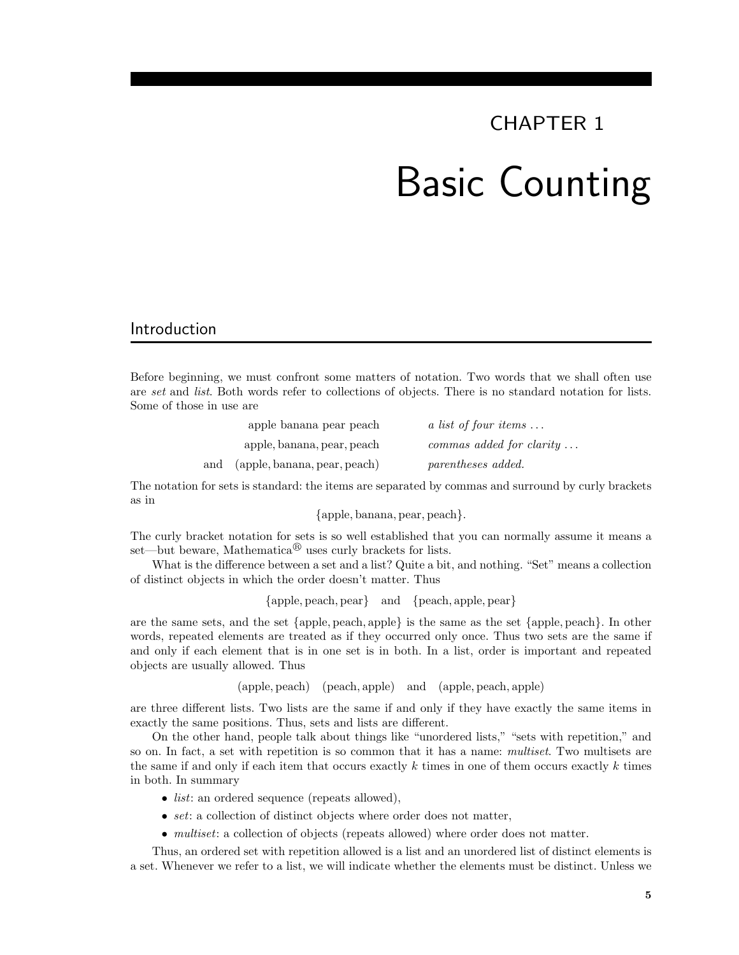## CHAPTER 1

# Basic Counting

## Introduction

Before beginning, we must confront some matters of notation. Two words that we shall often use are set and list. Both words refer to collections of objects. There is no standard notation for lists. Some of those in use are

|     | apple banana pear peach      | a list of four items $\ldots$           |
|-----|------------------------------|-----------------------------------------|
|     | apple, banana, pear, peach   | $commas \ added \ for \ clarity \ldots$ |
| and | (apple, banana, pear, peach) | parentheses added.                      |

The notation for sets is standard: the items are separated by commas and surround by curly brackets as in

{apple, banana, pear, peach}.

The curly bracket notation for sets is so well established that you can normally assume it means a set—but beware, Mathematica<sup>®</sup> uses curly brackets for lists.

What is the difference between a set and a list? Quite a bit, and nothing. "Set" means a collection of distinct objects in which the order doesn't matter. Thus

{apple, peach, pear} and {peach, apple, pear}

are the same sets, and the set {apple, peach, apple} is the same as the set {apple, peach}. In other words, repeated elements are treated as if they occurred only once. Thus two sets are the same if and only if each element that is in one set is in both. In a list, order is important and repeated objects are usually allowed. Thus

(apple, peach) (peach, apple) and (apple, peach, apple)

are three different lists. Two lists are the same if and only if they have exactly the same items in exactly the same positions. Thus, sets and lists are different.

On the other hand, people talk about things like "unordered lists," "sets with repetition," and so on. In fact, a set with repetition is so common that it has a name: multiset. Two multisets are the same if and only if each item that occurs exactly  $k$  times in one of them occurs exactly  $k$  times in both. In summary

- *list*: an ordered sequence (repeats allowed),
- set: a collection of distinct objects where order does not matter,
- multiset: a collection of objects (repeats allowed) where order does not matter.

Thus, an ordered set with repetition allowed is a list and an unordered list of distinct elements is a set. Whenever we refer to a list, we will indicate whether the elements must be distinct. Unless we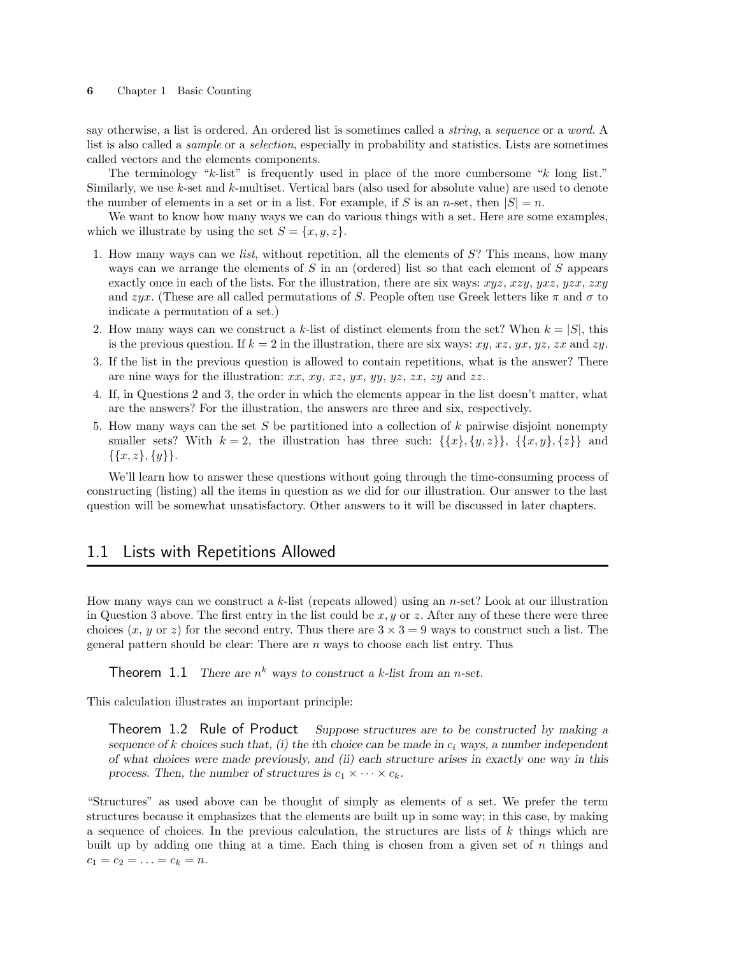#### 6 Chapter 1 Basic Counting

say otherwise, a list is ordered. An ordered list is sometimes called a string, a sequence or a word. A list is also called a *sample* or a *selection*, especially in probability and statistics. Lists are sometimes called vectors and the elements components.

The terminology "k-list" is frequently used in place of the more cumbersome "k long list." Similarly, we use k-set and k-multiset. Vertical bars (also used for absolute value) are used to denote the number of elements in a set or in a list. For example, if S is an n-set, then  $|S| = n$ .

We want to know how many ways we can do various things with a set. Here are some examples, which we illustrate by using the set  $S = \{x, y, z\}.$ 

- 1. How many ways can we *list*, without repetition, all the elements of S? This means, how many ways can we arrange the elements of  $S$  in an (ordered) list so that each element of  $S$  appears exactly once in each of the lists. For the illustration, there are six ways:  $xyz, xzy, yxz, yzx, zxy$ and zyx. (These are all called permutations of S. People often use Greek letters like  $\pi$  and  $\sigma$  to indicate a permutation of a set.)
- 2. How many ways can we construct a k-list of distinct elements from the set? When  $k = |S|$ , this is the previous question. If  $k = 2$  in the illustration, there are six ways: xy, xz, yx, yz, zx and zy.
- 3. If the list in the previous question is allowed to contain repetitions, what is the answer? There are nine ways for the illustration:  $xx$ ,  $xy$ ,  $xz$ ,  $yx$ ,  $yy$ ,  $yz$ ,  $zx$ ,  $zy$  and  $zz$ .
- 4. If, in Questions 2 and 3, the order in which the elements appear in the list doesn't matter, what are the answers? For the illustration, the answers are three and six, respectively.
- 5. How many ways can the set S be partitioned into a collection of  $k$  pairwise disjoint nonempty smaller sets? With  $k = 2$ , the illustration has three such:  $\{\{x\}, \{y, z\}\}, \{\{x, y\}, \{z\}\}\$  and  $\{\{x, z\}, \{y\}\}.$

We'll learn how to answer these questions without going through the time-consuming process of constructing (listing) all the items in question as we did for our illustration. Our answer to the last question will be somewhat unsatisfactory. Other answers to it will be discussed in later chapters.

## 1.1 Lists with Repetitions Allowed

How many ways can we construct a k-list (repeats allowed) using an n-set? Look at our illustration in Question 3 above. The first entry in the list could be  $x, y$  or z. After any of these there were three choices  $(x, y \text{ or } z)$  for the second entry. Thus there are  $3 \times 3 = 9$  ways to construct such a list. The general pattern should be clear: There are  $n$  ways to choose each list entry. Thus

**Theorem 1.1** There are  $n^k$  ways to construct a k-list from an n-set.

This calculation illustrates an important principle:

Theorem 1.2 Rule of Product Suppose structures are to be constructed by making a sequence of k choices such that, (i) the ith choice can be made in  $c_i$  ways, a number independent of what choices were made previously, and (ii) each structure arises in exactly one way in this process. Then, the number of structures is  $c_1 \times \cdots \times c_k$ .

"Structures" as used above can be thought of simply as elements of a set. We prefer the term structures because it emphasizes that the elements are built up in some way; in this case, by making a sequence of choices. In the previous calculation, the structures are lists of  $k$  things which are built up by adding one thing at a time. Each thing is chosen from a given set of n things and  $c_1 = c_2 = \ldots = c_k = n.$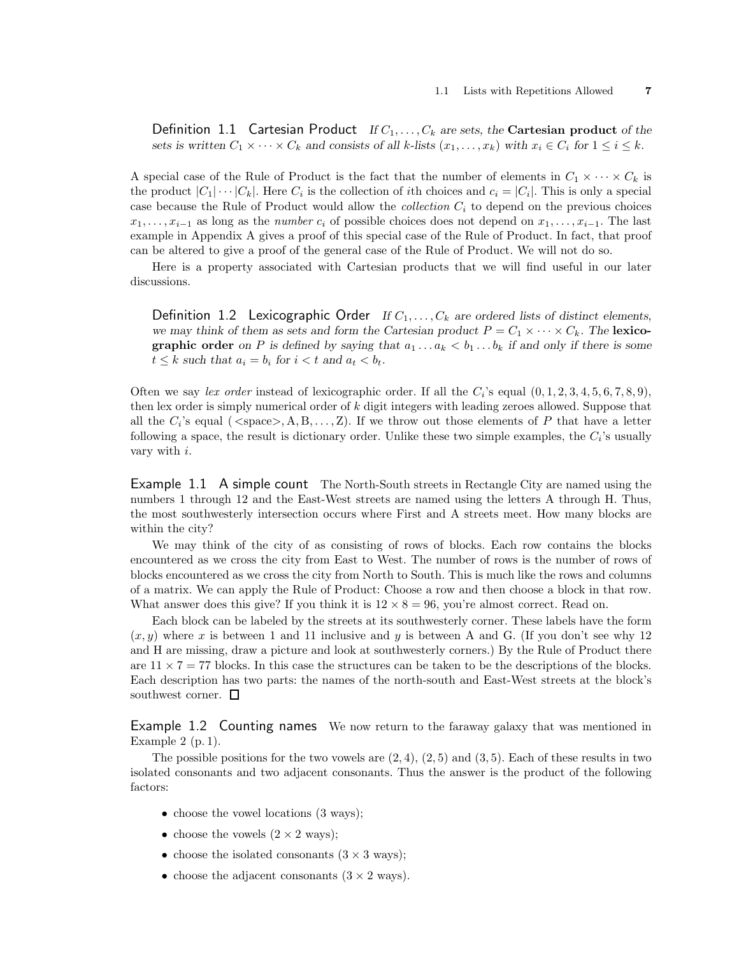Definition 1.1 Cartesian Product If  $C_1, \ldots, C_k$  are sets, the Cartesian product of the sets is written  $C_1 \times \cdots \times C_k$  and consists of all k-lists  $(x_1, \ldots, x_k)$  with  $x_i \in C_i$  for  $1 \leq i \leq k$ .

A special case of the Rule of Product is the fact that the number of elements in  $C_1 \times \cdots \times C_k$  is the product  $|C_1| \cdots |C_k|$ . Here  $C_i$  is the collection of *i*th choices and  $c_i = |C_i|$ . This is only a special case because the Rule of Product would allow the *collection*  $C_i$  to depend on the previous choices  $x_1, \ldots, x_{i-1}$  as long as the *number*  $c_i$  of possible choices does not depend on  $x_1, \ldots, x_{i-1}$ . The last example in Appendix A gives a proof of this special case of the Rule of Product. In fact, that proof can be altered to give a proof of the general case of the Rule of Product. We will not do so.

Here is a property associated with Cartesian products that we will find useful in our later discussions.

Definition 1.2 Lexicographic Order If  $C_1, \ldots, C_k$  are ordered lists of distinct elements, we may think of them as sets and form the Cartesian product  $P = C_1 \times \cdots \times C_k$ . The lexico**graphic order** on P is defined by saying that  $a_1 \ldots a_k < b_1 \ldots b_k$  if and only if there is some  $t \leq k$  such that  $a_i = b_i$  for  $i < t$  and  $a_t < b_t$ .

Often we say lex order instead of lexicographic order. If all the  $C_i$ 's equal  $(0, 1, 2, 3, 4, 5, 6, 7, 8, 9)$ , then lex order is simply numerical order of k digit integers with leading zeroes allowed. Suppose that all the  $C_i$ 's equal ( $\langle$ space $\rangle$ , A, B, ..., Z). If we throw out those elements of P that have a letter following a space, the result is dictionary order. Unlike these two simple examples, the  $C_i$ 's usually vary with  $i$ .

Example 1.1 A simple count The North-South streets in Rectangle City are named using the numbers 1 through 12 and the East-West streets are named using the letters A through H. Thus, the most southwesterly intersection occurs where First and A streets meet. How many blocks are within the city?

We may think of the city of as consisting of rows of blocks. Each row contains the blocks encountered as we cross the city from East to West. The number of rows is the number of rows of blocks encountered as we cross the city from North to South. This is much like the rows and columns of a matrix. We can apply the Rule of Product: Choose a row and then choose a block in that row. What answer does this give? If you think it is  $12 \times 8 = 96$ , you're almost correct. Read on.

Each block can be labeled by the streets at its southwesterly corner. These labels have the form  $(x, y)$  where x is between 1 and 11 inclusive and y is between A and G. (If you don't see why 12) and H are missing, draw a picture and look at southwesterly corners.) By the Rule of Product there are  $11 \times 7 = 77$  blocks. In this case the structures can be taken to be the descriptions of the blocks. Each description has two parts: the names of the north-south and East-West streets at the block's southwest corner.  $\hfill \square$ 

Example 1.2 Counting names We now return to the faraway galaxy that was mentioned in Example  $2$  (p. 1).

The possible positions for the two vowels are  $(2, 4)$ ,  $(2, 5)$  and  $(3, 5)$ . Each of these results in two isolated consonants and two adjacent consonants. Thus the answer is the product of the following factors:

- choose the vowel locations (3 ways);
- choose the vowels  $(2 \times 2 \text{ ways})$ ;
- choose the isolated consonants  $(3 \times 3 \text{ ways})$ ;
- choose the adjacent consonants  $(3 \times 2 \text{ ways})$ .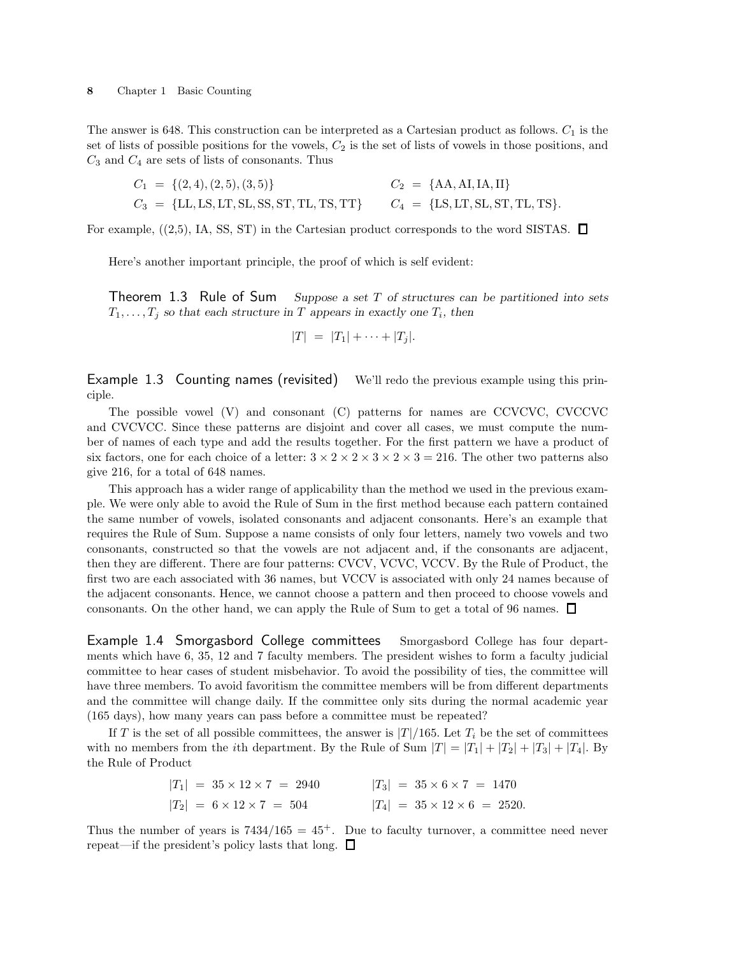The answer is 648. This construction can be interpreted as a Cartesian product as follows.  $C_1$  is the set of lists of possible positions for the vowels,  $C_2$  is the set of lists of vowels in those positions, and  $C_3$  and  $C_4$  are sets of lists of consonants. Thus

$$
C_1 = \{ (2, 4), (2, 5), (3, 5) \}
$$
  
\n
$$
C_2 = \{ AA, AI, IA, II \}
$$
  
\n
$$
C_3 = \{ LL, LS, LT, SL, SS, ST, TL, TS, TT \}
$$
  
\n
$$
C_4 = \{ LS, LT, SL, ST, TL, TS \}.
$$

For example,  $((2,5),$  IA, SS, ST) in the Cartesian product corresponds to the word SISTAS.  $\Box$ 

Here's another important principle, the proof of which is self evident:

Theorem 1.3 Rule of Sum Suppose a set T of structures can be partitioned into sets  $T_1, \ldots, T_j$  so that each structure in T appears in exactly one  $T_i$ , then

$$
|T| = |T_1| + \cdots + |T_j|.
$$

Example 1.3 Counting names (revisited) We'll redo the previous example using this principle.

The possible vowel (V) and consonant (C) patterns for names are CCVCVC, CVCCVC and CVCVCC. Since these patterns are disjoint and cover all cases, we must compute the number of names of each type and add the results together. For the first pattern we have a product of six factors, one for each choice of a letter:  $3 \times 2 \times 2 \times 3 \times 2 \times 3 = 216$ . The other two patterns also give 216, for a total of 648 names.

This approach has a wider range of applicability than the method we used in the previous example. We were only able to avoid the Rule of Sum in the first method because each pattern contained the same number of vowels, isolated consonants and adjacent consonants. Here's an example that requires the Rule of Sum. Suppose a name consists of only four letters, namely two vowels and two consonants, constructed so that the vowels are not adjacent and, if the consonants are adjacent, then they are different. There are four patterns: CVCV, VCVC, VCCV. By the Rule of Product, the first two are each associated with 36 names, but VCCV is associated with only 24 names because of the adjacent consonants. Hence, we cannot choose a pattern and then proceed to choose vowels and consonants. On the other hand, we can apply the Rule of Sum to get a total of 96 names.  $\Box$ 

Example 1.4 Smorgasbord College committees Smorgasbord College has four departments which have 6, 35, 12 and 7 faculty members. The president wishes to form a faculty judicial committee to hear cases of student misbehavior. To avoid the possibility of ties, the committee will have three members. To avoid favoritism the committee members will be from different departments and the committee will change daily. If the committee only sits during the normal academic year (165 days), how many years can pass before a committee must be repeated?

If T is the set of all possible committees, the answer is  $|T|/165$ . Let  $T_i$  be the set of committees with no members from the *i*th department. By the Rule of Sum  $|T| = |T_1| + |T_2| + |T_3| + |T_4|$ . By the Rule of Product

| $ T_1  = 35 \times 12 \times 7 = 2940$ | $ T_3  = 35 \times 6 \times 7 = 1470$   |
|----------------------------------------|-----------------------------------------|
| $ T_2  = 6 \times 12 \times 7 = 504$   | $ T_4  = 35 \times 12 \times 6 = 2520.$ |

Thus the number of years is  $7434/165 = 45^+$ . Due to faculty turnover, a committee need never repeat—if the president's policy lasts that long.  $\Box$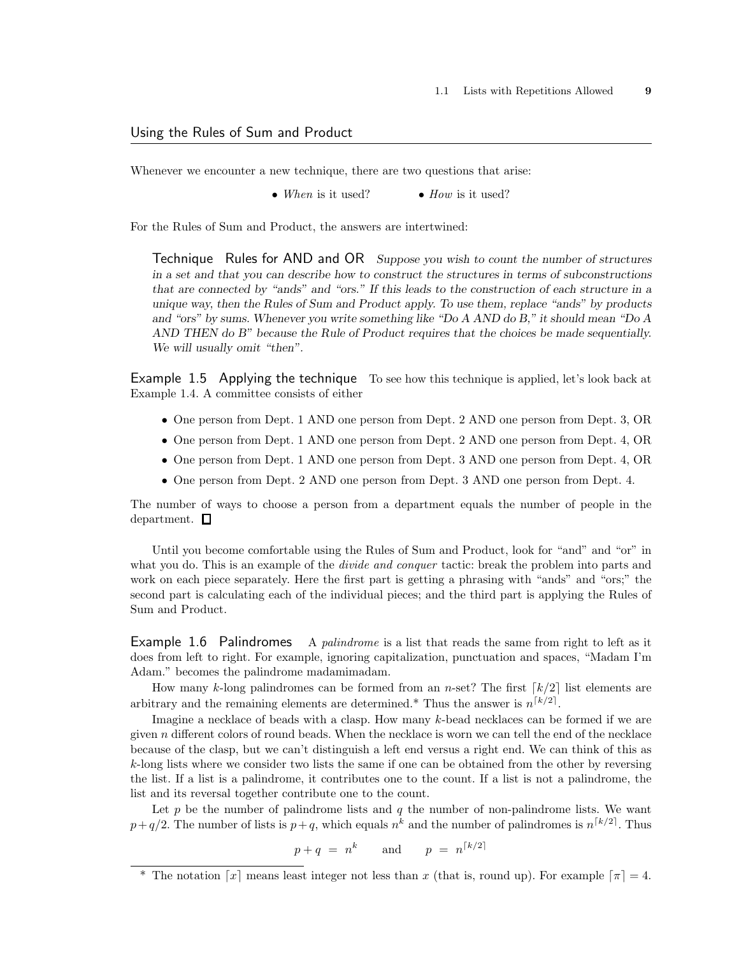## Using the Rules of Sum and Product

Whenever we encounter a new technique, there are two questions that arise:

• When is it used? • How is it used?

For the Rules of Sum and Product, the answers are intertwined:

Technique Rules for AND and OR Suppose you wish to count the number of structures in a set and that you can describe how to construct the structures in terms of subconstructions that are connected by "ands" and "ors." If this leads to the construction of each structure in a unique way, then the Rules of Sum and Product apply. To use them, replace "ands" by products and "ors" by sums. Whenever you write something like "Do A AND do B," it should mean "Do A AND THEN do B" because the Rule of Product requires that the choices be made sequentially. We will usually omit "then".

Example 1.5 Applying the technique To see how this technique is applied, let's look back at Example 1.4. A committee consists of either

- One person from Dept. 1 AND one person from Dept. 2 AND one person from Dept. 3, OR
- One person from Dept. 1 AND one person from Dept. 2 AND one person from Dept. 4, OR
- One person from Dept. 1 AND one person from Dept. 3 AND one person from Dept. 4, OR
- One person from Dept. 2 AND one person from Dept. 3 AND one person from Dept. 4.

The number of ways to choose a person from a department equals the number of people in the department.  $\Box$ 

Until you become comfortable using the Rules of Sum and Product, look for "and" and "or" in what you do. This is an example of the *divide and conquer* tactic: break the problem into parts and work on each piece separately. Here the first part is getting a phrasing with "ands" and "ors;" the second part is calculating each of the individual pieces; and the third part is applying the Rules of Sum and Product.

**Example 1.6 Palindromes** A *palindrome* is a list that reads the same from right to left as it does from left to right. For example, ignoring capitalization, punctuation and spaces, "Madam I'm Adam." becomes the palindrome madamimadam.

How many k-long palindromes can be formed from an n-set? The first  $\lceil k/2 \rceil$  list elements are arbitrary and the remaining elements are determined.\* Thus the answer is  $n^{\lceil k/2 \rceil}$ .

Imagine a necklace of beads with a clasp. How many k-bead necklaces can be formed if we are given  $n$  different colors of round beads. When the necklace is worn we can tell the end of the necklace because of the clasp, but we can't distinguish a left end versus a right end. We can think of this as k-long lists where we consider two lists the same if one can be obtained from the other by reversing the list. If a list is a palindrome, it contributes one to the count. If a list is not a palindrome, the list and its reversal together contribute one to the count.

Let  $p$  be the number of palindrome lists and  $q$  the number of non-palindrome lists. We want  $p+q/2$ . The number of lists is  $p+q$ , which equals  $n^k$  and the number of palindromes is  $n^{\lceil k/2 \rceil}$ . Thus

$$
p + q = n^k \qquad \text{and} \qquad p = n^{\lceil k/2 \rceil}
$$

<sup>\*</sup> The notation [x] means least integer not less than x (that is, round up). For example  $\lceil \pi \rceil = 4$ .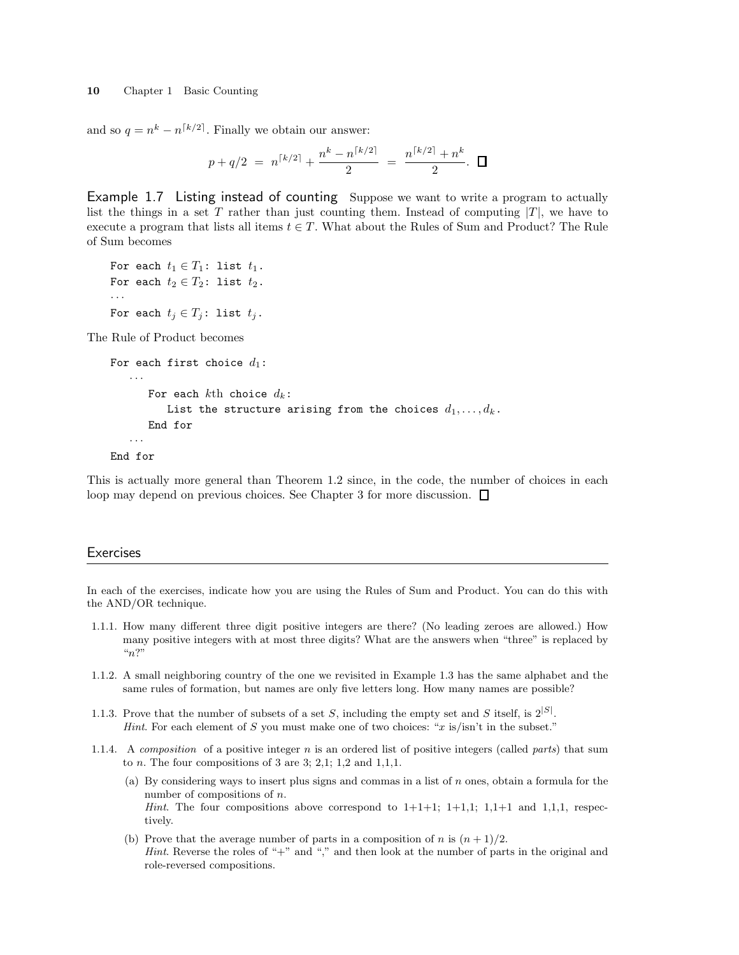and so  $q = n^k - n^{\lceil k/2 \rceil}$ . Finally we obtain our answer:

$$
p + q/2 = n^{\lceil k/2 \rceil} + \frac{n^k - n^{\lceil k/2 \rceil}}{2} = \frac{n^{\lceil k/2 \rceil} + n^k}{2}.
$$

Example 1.7 Listing instead of counting Suppose we want to write a program to actually list the things in a set T rather than just counting them. Instead of computing  $|T|$ , we have to execute a program that lists all items  $t \in T$ . What about the Rules of Sum and Product? The Rule of Sum becomes

```
For each t_1 \in T_1: list t_1.
For each t_2 \in T_2: list t_2.
· · ·
For each t_j \in T_j: list t_j.
```
The Rule of Product becomes

```
For each first choice d_1:
   · · ·
      For each kth choice d_k:
          List the structure arising from the choices d_1, \ldots, d_k.
      End for
   · · ·
End for
```
This is actually more general than Theorem 1.2 since, in the code, the number of choices in each loop may depend on previous choices. See Chapter 3 for more discussion.  $\Box$ 

#### Exercises

In each of the exercises, indicate how you are using the Rules of Sum and Product. You can do this with the AND/OR technique.

- 1.1.1. How many different three digit positive integers are there? (No leading zeroes are allowed.) How many positive integers with at most three digits? What are the answers when "three" is replaced by  $"n?"$
- 1.1.2. A small neighboring country of the one we revisited in Example 1.3 has the same alphabet and the same rules of formation, but names are only five letters long. How many names are possible?
- 1.1.3. Prove that the number of subsets of a set S, including the empty set and S itself, is  $2^{|S|}$ . Hint. For each element of S you must make one of two choices: " $x$  is/isn't in the subset."
- 1.1.4. A composition of a positive integer n is an ordered list of positive integers (called parts) that sum to *n*. The four compositions of 3 are 3; 2,1; 1,2 and 1,1,1.
	- (a) By considering ways to insert plus signs and commas in a list of  $n$  ones, obtain a formula for the number of compositions of n. *Hint.* The four compositions above correspond to  $1+1+1$ ;  $1+1,1$ ;  $1,1+1$  and  $1,1,1$ , respectively.
	- (b) Prove that the average number of parts in a composition of n is  $(n+1)/2$ . Hint. Reverse the roles of "+" and "," and then look at the number of parts in the original and role-reversed compositions.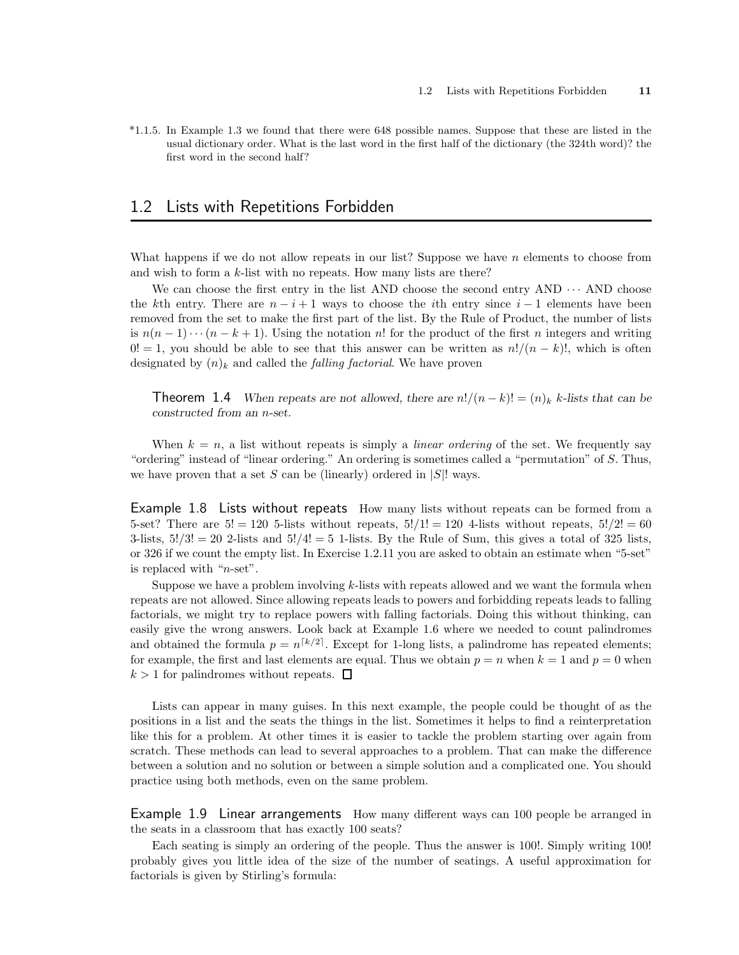\*1.1.5. In Example 1.3 we found that there were 648 possible names. Suppose that these are listed in the usual dictionary order. What is the last word in the first half of the dictionary (the 324th word)? the first word in the second half?

## 1.2 Lists with Repetitions Forbidden

What happens if we do not allow repeats in our list? Suppose we have  $n$  elements to choose from and wish to form a k-list with no repeats. How many lists are there?

We can choose the first entry in the list AND choose the second entry  $AND \cdots AND$  choose the kth entry. There are  $n-i+1$  ways to choose the *i*th entry since  $i-1$  elements have been removed from the set to make the first part of the list. By the Rule of Product, the number of lists is  $n(n-1)\cdots(n-k+1)$ . Using the notation n! for the product of the first n integers and writing  $0! = 1$ , you should be able to see that this answer can be written as  $n!/(n-k)!$ , which is often designated by  $(n)_k$  and called the *falling factorial*. We have proven

**Theorem 1.4** When repeats are not allowed, there are  $n!/(n-k)! = (n)_k k$ -lists that can be constructed from an n-set.

When  $k = n$ , a list without repeats is simply a *linear ordering* of the set. We frequently say "ordering" instead of "linear ordering." An ordering is sometimes called a "permutation" of S. Thus, we have proven that a set S can be (linearly) ordered in  $|S|$ ! ways.

Example 1.8 Lists without repeats How many lists without repeats can be formed from a 5-set? There are  $5! = 120$  5-lists without repeats,  $5!/1! = 120$  4-lists without repeats,  $5!/2! = 60$ 3-lists,  $5!/3! = 20$  2-lists and  $5!/4! = 5$  1-lists. By the Rule of Sum, this gives a total of 325 lists, or 326 if we count the empty list. In Exercise 1.2.11 you are asked to obtain an estimate when "5-set" is replaced with "n-set".

Suppose we have a problem involving  $k$ -lists with repeats allowed and we want the formula when repeats are not allowed. Since allowing repeats leads to powers and forbidding repeats leads to falling factorials, we might try to replace powers with falling factorials. Doing this without thinking, can easily give the wrong answers. Look back at Example 1.6 where we needed to count palindromes and obtained the formula  $p = n^{\lceil k/2 \rceil}$ . Except for 1-long lists, a palindrome has repeated elements; for example, the first and last elements are equal. Thus we obtain  $p = n$  when  $k = 1$  and  $p = 0$  when  $k > 1$  for palindromes without repeats.  $\Box$ 

Lists can appear in many guises. In this next example, the people could be thought of as the positions in a list and the seats the things in the list. Sometimes it helps to find a reinterpretation like this for a problem. At other times it is easier to tackle the problem starting over again from scratch. These methods can lead to several approaches to a problem. That can make the difference between a solution and no solution or between a simple solution and a complicated one. You should practice using both methods, even on the same problem.

Example 1.9 Linear arrangements How many different ways can 100 people be arranged in the seats in a classroom that has exactly 100 seats?

Each seating is simply an ordering of the people. Thus the answer is 100!. Simply writing 100! probably gives you little idea of the size of the number of seatings. A useful approximation for factorials is given by Stirling's formula: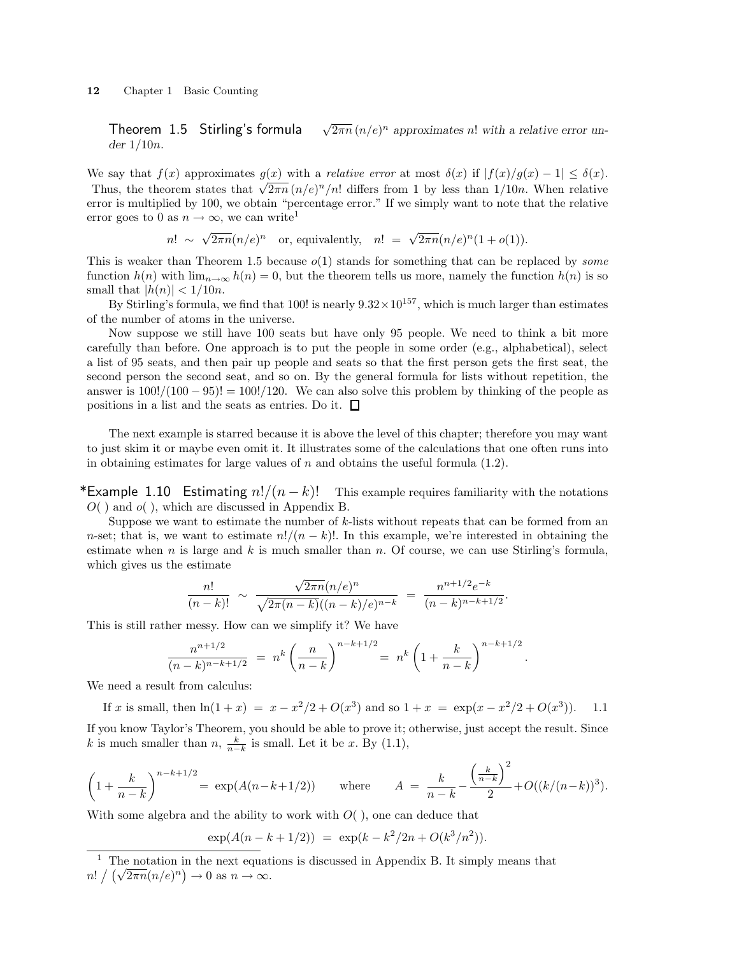Theorem 1.5 Stirling's formula  $\overline{2\pi n}$   $(n/e)^n$  approximates n! with a relative error under 1/10n.

We say that  $f(x)$  approximates  $g(x)$  with a *relative error* at most  $\delta(x)$  if  $|f(x)/g(x) - 1| \leq \delta(x)$ .

Thus, the theorem states that  $\sqrt{2\pi n} (n/e)^n/n!$  differs from 1 by less than  $1/10n$ . When relative Thus, the theorem states that  $\sqrt{2\pi n} (n/e)^n/n!$  differs from 1 by less than  $1/10n$ . When relative error is multiplied by 100, we obtain "percentage error." If we simply want to note that the relative error goes to 0 as  $n \to \infty$ , we can write<sup>1</sup>

 $n!$  ∼ √  $\overline{2\pi n}(n/e)^n$  or, equivalently,  $n! = \sqrt{2\pi n}(n/e)^n(1+o(1)).$ 

This is weaker than Theorem 1.5 because  $o(1)$  stands for something that can be replaced by *some* function  $h(n)$  with  $\lim_{n\to\infty} h(n) = 0$ , but the theorem tells us more, namely the function  $h(n)$  is so small that  $|h(n)| < 1/10n$ .

By Stirling's formula, we find that 100! is nearly  $9.32 \times 10^{157}$ , which is much larger than estimates of the number of atoms in the universe.

Now suppose we still have 100 seats but have only 95 people. We need to think a bit more carefully than before. One approach is to put the people in some order (e.g., alphabetical), select a list of 95 seats, and then pair up people and seats so that the first person gets the first seat, the second person the second seat, and so on. By the general formula for lists without repetition, the answer is  $100!/(100-95)! = 100!/120$ . We can also solve this problem by thinking of the people as positions in a list and the seats as entries. Do it.

The next example is starred because it is above the level of this chapter; therefore you may want to just skim it or maybe even omit it. It illustrates some of the calculations that one often runs into in obtaining estimates for large values of  $n$  and obtains the useful formula  $(1.2)$ .

\*Example 1.10 Estimating  $n!/(n-k)!$  This example requires familiarity with the notations  $O($  ) and  $o($  ), which are discussed in Appendix B.

Suppose we want to estimate the number of  $k$ -lists without repeats that can be formed from an n-set; that is, we want to estimate  $n!/(n-k)!$ . In this example, we're interested in obtaining the estimate when  $n$  is large and  $k$  is much smaller than  $n$ . Of course, we can use Stirling's formula, which gives us the estimate

$$
\frac{n!}{(n-k)!} \sim \frac{\sqrt{2\pi n}(n/e)^n}{\sqrt{2\pi(n-k)}((n-k)/e)^{n-k}} = \frac{n^{n+1/2}e^{-k}}{(n-k)^{n-k+1/2}}.
$$

This is still rather messy. How can we simplify it? We have

$$
\frac{n^{n+1/2}}{(n-k)^{n-k+1/2}} = n^k \left(\frac{n}{n-k}\right)^{n-k+1/2} = n^k \left(1 + \frac{k}{n-k}\right)^{n-k+1/2}.
$$

We need a result from calculus:

If x is small, then 
$$
\ln(1+x) = x - x^2/2 + O(x^3)
$$
 and so  $1+x = \exp(x - x^2/2 + O(x^3))$ . 1.1

If you know Taylor's Theorem, you should be able to prove it; otherwise, just accept the result. Since k is much smaller than  $n, \frac{k}{n-k}$  is small. Let it be x. By (1.1),

$$
\left(1 + \frac{k}{n-k}\right)^{n-k+1/2} = \exp(A(n-k+1/2)) \quad \text{where} \quad A = \frac{k}{n-k} - \frac{\left(\frac{k}{n-k}\right)^2}{2} + O((k/(n-k))^3).
$$

With some algebra and the ability to work with  $O($ ), one can deduce that

$$
\exp(A(n-k+1/2)) = \exp(k-k^2/2n+O(k^3/n^2)).
$$

<sup>1</sup> The notation in the next equations is discussed in Appendix B. It simply means that <sup>-</sup> The notation in the next equat<br>  $n! / (\sqrt{2\pi n} (n/e)^n) \rightarrow 0$  as  $n \rightarrow \infty$ .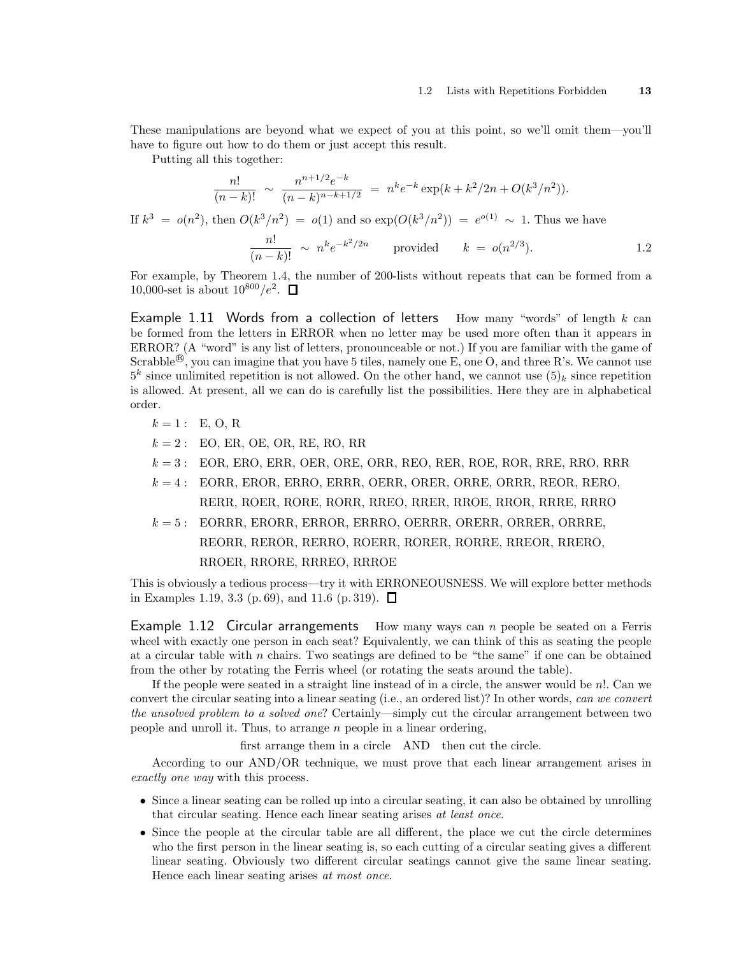These manipulations are beyond what we expect of you at this point, so we'll omit them—you'll have to figure out how to do them or just accept this result.

Putting all this together:

$$
\frac{n!}{(n-k)!} \sim \frac{n^{n+1/2}e^{-k}}{(n-k)^{n-k+1/2}} = n^k e^{-k} \exp\left(k + k^2/2n + O(k^3/n^2)\right).
$$

If  $k^3 = o(n^2)$ , then  $O(k^3/n^2) = o(1)$  and so  $exp(O(k^3/n^2)) = e^{o(1)} \sim 1$ . Thus we have

$$
\frac{n!}{(n-k)!} \sim n^k e^{-k^2/2n} \qquad \text{provided} \qquad k = o(n^{2/3}). \tag{1.2}
$$

For example, by Theorem 1.4, the number of 200-lists without repeats that can be formed from a 10,000-set is about  $10^{800}/e^2$ .

Example 1.11 Words from a collection of letters How many "words" of length  $k$  can be formed from the letters in ERROR when no letter may be used more often than it appears in ERROR? (A "word" is any list of letters, pronounceable or not.) If you are familiar with the game of Scrabble<sup>®</sup>, you can imagine that you have 5 tiles, namely one E, one O, and three R's. We cannot use  $5<sup>k</sup>$  since unlimited repetition is not allowed. On the other hand, we cannot use  $(5)<sub>k</sub>$  since repetition is allowed. At present, all we can do is carefully list the possibilities. Here they are in alphabetical order.

- $k = 1: E, O, R$
- $k = 2$ : EO, ER, OE, OR, RE, RO, RR
- $k = 3$ : EOR, ERO, ERR, OER, ORE, ORR, REO, RER, ROE, ROR, RRE, RRO, RRR
- $k = 4$ : EORR, EROR, ERRO, ERRR, OERR, ORER, ORRE, ORRR, REOR, RERO, RERR, ROER, RORE, RORR, RREO, RRER, RROE, RROR, RRRE, RRRO
- $k = 5$ : EORRR, ERORR, ERROR, ERRRO, OERRR, ORERR, ORRER, ORRRE, REORR, REROR, RERRO, ROERR, RORER, RORRE, RREOR, RRERO, RROER, RRORE, RRREO, RRROE

This is obviously a tedious process—try it with ERRONEOUSNESS. We will explore better methods in Examples 1.19, 3.3 (p. 69), and 11.6 (p. 319).  $\Box$ 

**Example 1.12 Circular arrangements** How many ways can n people be seated on a Ferris wheel with exactly one person in each seat? Equivalently, we can think of this as seating the people at a circular table with n chairs. Two seatings are defined to be "the same" if one can be obtained from the other by rotating the Ferris wheel (or rotating the seats around the table).

If the people were seated in a straight line instead of in a circle, the answer would be  $n!$ . Can we convert the circular seating into a linear seating (i.e., an ordered list)? In other words, can we convert the unsolved problem to a solved one? Certainly—simply cut the circular arrangement between two people and unroll it. Thus, to arrange n people in a linear ordering,

first arrange them in a circle AND then cut the circle.

According to our AND/OR technique, we must prove that each linear arrangement arises in exactly one way with this process.

- Since a linear seating can be rolled up into a circular seating, it can also be obtained by unrolling that circular seating. Hence each linear seating arises at least once.
- Since the people at the circular table are all different, the place we cut the circle determines who the first person in the linear seating is, so each cutting of a circular seating gives a different linear seating. Obviously two different circular seatings cannot give the same linear seating. Hence each linear seating arises at most once.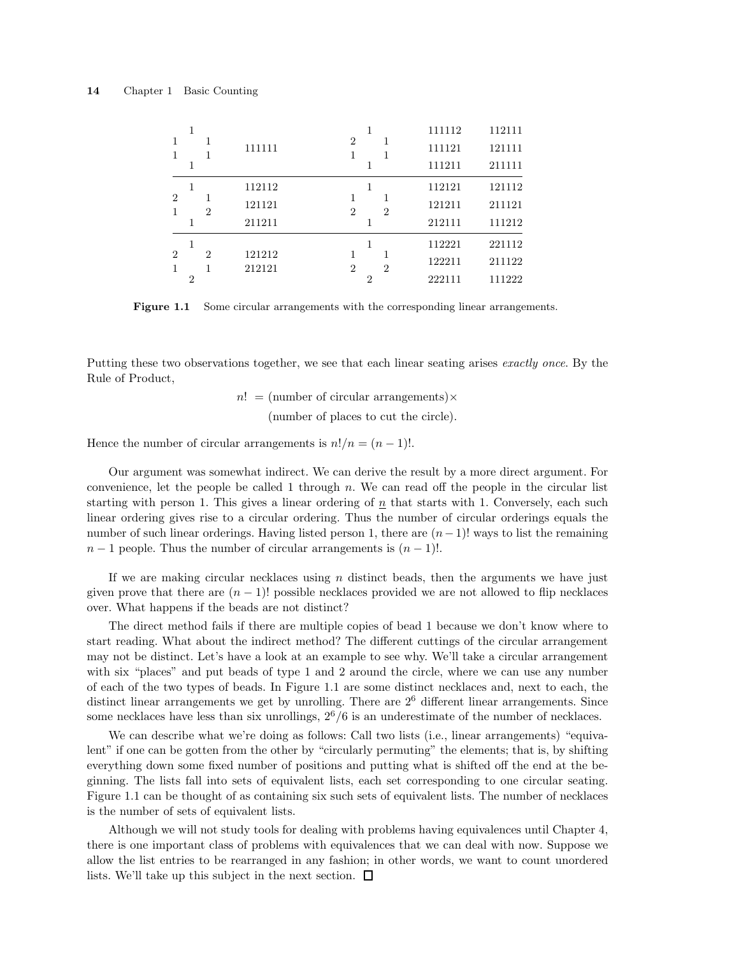|                | 1<br>1              | 1                   | 111111                     | $\overline{2}$<br>1<br>1<br>ı                                | 111112<br>111121<br>111211 | 112111<br>121111<br>211111 |
|----------------|---------------------|---------------------|----------------------------|--------------------------------------------------------------|----------------------------|----------------------------|
| $\overline{2}$ | 1                   | 1<br>$\overline{2}$ | 112112<br>121121<br>211211 | 1<br>1<br>$\overline{2}$<br>2                                | 112121<br>121211<br>212111 | 121112<br>211121<br>111212 |
| 2              | 1<br>$\overline{2}$ | $\mathfrak{D}$<br>1 | 121212<br>212121           | 1<br>1<br>$\overline{2}$<br>$\mathfrak{D}$<br>$\overline{2}$ | 112221<br>122211<br>222111 | 221112<br>211122<br>111222 |

Figure 1.1 Some circular arrangements with the corresponding linear arrangements.

Putting these two observations together, we see that each linear seating arises exactly once. By the Rule of Product,

> $n! =$  (number of circular arrangements) $\times$ (number of places to cut the circle).

Hence the number of circular arrangements is  $n!/n = (n-1)!$ .

Our argument was somewhat indirect. We can derive the result by a more direct argument. For convenience, let the people be called 1 through  $n$ . We can read off the people in the circular list starting with person 1. This gives a linear ordering of  $n$  that starts with 1. Conversely, each such linear ordering gives rise to a circular ordering. Thus the number of circular orderings equals the number of such linear orderings. Having listed person 1, there are  $(n-1)!$  ways to list the remaining  $n-1$  people. Thus the number of circular arrangements is  $(n-1)!$ .

If we are making circular necklaces using  $n$  distinct beads, then the arguments we have just given prove that there are  $(n - 1)!$  possible necklaces provided we are not allowed to flip necklaces over. What happens if the beads are not distinct?

The direct method fails if there are multiple copies of bead 1 because we don't know where to start reading. What about the indirect method? The different cuttings of the circular arrangement may not be distinct. Let's have a look at an example to see why. We'll take a circular arrangement with six "places" and put beads of type 1 and 2 around the circle, where we can use any number of each of the two types of beads. In Figure 1.1 are some distinct necklaces and, next to each, the distinct linear arrangements we get by unrolling. There are  $2^6$  different linear arrangements. Since some necklaces have less than six unrollings,  $2^6/6$  is an underestimate of the number of necklaces.

We can describe what we're doing as follows: Call two lists (i.e., linear arrangements) "equivalent" if one can be gotten from the other by "circularly permuting" the elements; that is, by shifting everything down some fixed number of positions and putting what is shifted off the end at the beginning. The lists fall into sets of equivalent lists, each set corresponding to one circular seating. Figure 1.1 can be thought of as containing six such sets of equivalent lists. The number of necklaces is the number of sets of equivalent lists.

Although we will not study tools for dealing with problems having equivalences until Chapter 4, there is one important class of problems with equivalences that we can deal with now. Suppose we allow the list entries to be rearranged in any fashion; in other words, we want to count unordered lists. We'll take up this subject in the next section.  $\Box$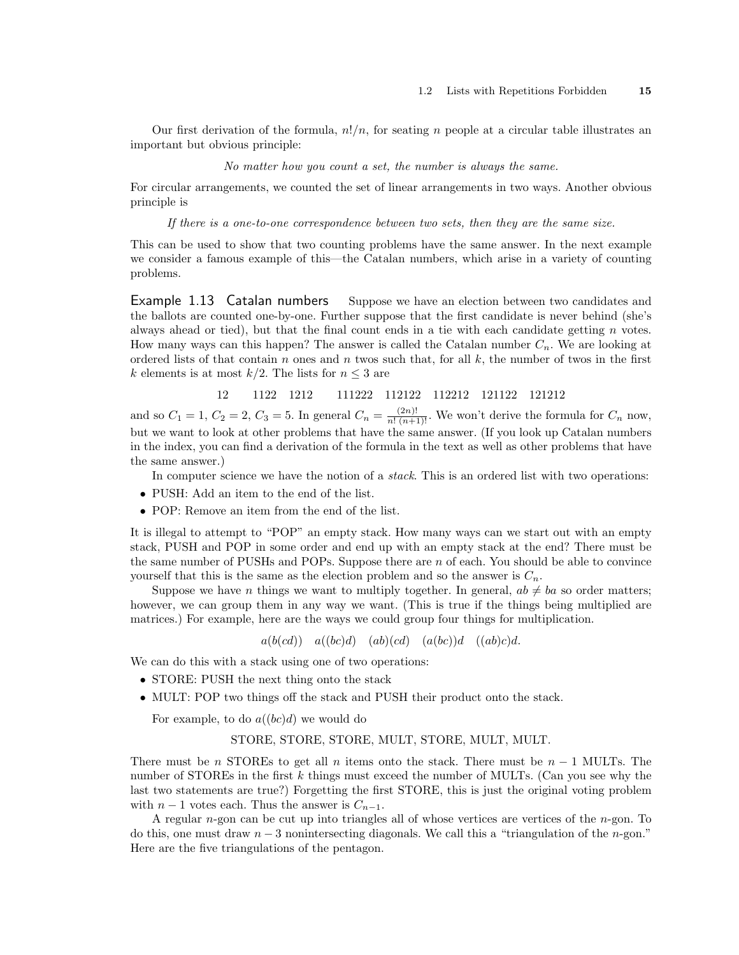Our first derivation of the formula,  $n!/n$ , for seating n people at a circular table illustrates an important but obvious principle:

No matter how you count a set, the number is always the same.

For circular arrangements, we counted the set of linear arrangements in two ways. Another obvious principle is

If there is a one-to-one correspondence between two sets, then they are the same size.

This can be used to show that two counting problems have the same answer. In the next example we consider a famous example of this—the Catalan numbers, which arise in a variety of counting problems.

Example 1.13 Catalan numbers Suppose we have an election between two candidates and the ballots are counted one-by-one. Further suppose that the first candidate is never behind (she's always ahead or tied), but that the final count ends in a tie with each candidate getting  $n$  votes. How many ways can this happen? The answer is called the Catalan number  $C_n$ . We are looking at ordered lists of that contain n ones and n twos such that, for all  $k$ , the number of twos in the first k elements is at most  $k/2$ . The lists for  $n \leq 3$  are

#### 12 1122 1212 111222 112122 112212 121122 121212

and so  $C_1 = 1, C_2 = 2, C_3 = 5$ . In general  $C_n = \frac{(2n)!}{n!(n+1)!}$ . We won't derive the formula for  $C_n$  now, but we want to look at other problems that have the same answer. (If you look up Catalan numbers in the index, you can find a derivation of the formula in the text as well as other problems that have the same answer.)

In computer science we have the notion of a *stack*. This is an ordered list with two operations:

- PUSH: Add an item to the end of the list.
- POP: Remove an item from the end of the list.

It is illegal to attempt to "POP" an empty stack. How many ways can we start out with an empty stack, PUSH and POP in some order and end up with an empty stack at the end? There must be the same number of PUSHs and POPs. Suppose there are n of each. You should be able to convince yourself that this is the same as the election problem and so the answer is  $C_n$ .

Suppose we have *n* things we want to multiply together. In general,  $ab \neq ba$  so order matters; however, we can group them in any way we want. (This is true if the things being multiplied are matrices.) For example, here are the ways we could group four things for multiplication.

 $a(b(cd)) \quad a((bc)d) \quad (ab)(cd) \quad (a(bc))d \quad ((ab)c)d.$ 

We can do this with a stack using one of two operations:

- STORE: PUSH the next thing onto the stack
- MULT: POP two things off the stack and PUSH their product onto the stack.

For example, to do  $a((bc)d)$  we would do

#### STORE, STORE, STORE, MULT, STORE, MULT, MULT.

There must be n STOREs to get all n items onto the stack. There must be  $n-1$  MULTs. The number of STOREs in the first  $k$  things must exceed the number of MULTs. (Can you see why the last two statements are true?) Forgetting the first STORE, this is just the original voting problem with  $n-1$  votes each. Thus the answer is  $C_{n-1}$ .

A regular  $n$ -gon can be cut up into triangles all of whose vertices are vertices of the  $n$ -gon. To do this, one must draw  $n-3$  nonintersecting diagonals. We call this a "triangulation of the n-gon." Here are the five triangulations of the pentagon.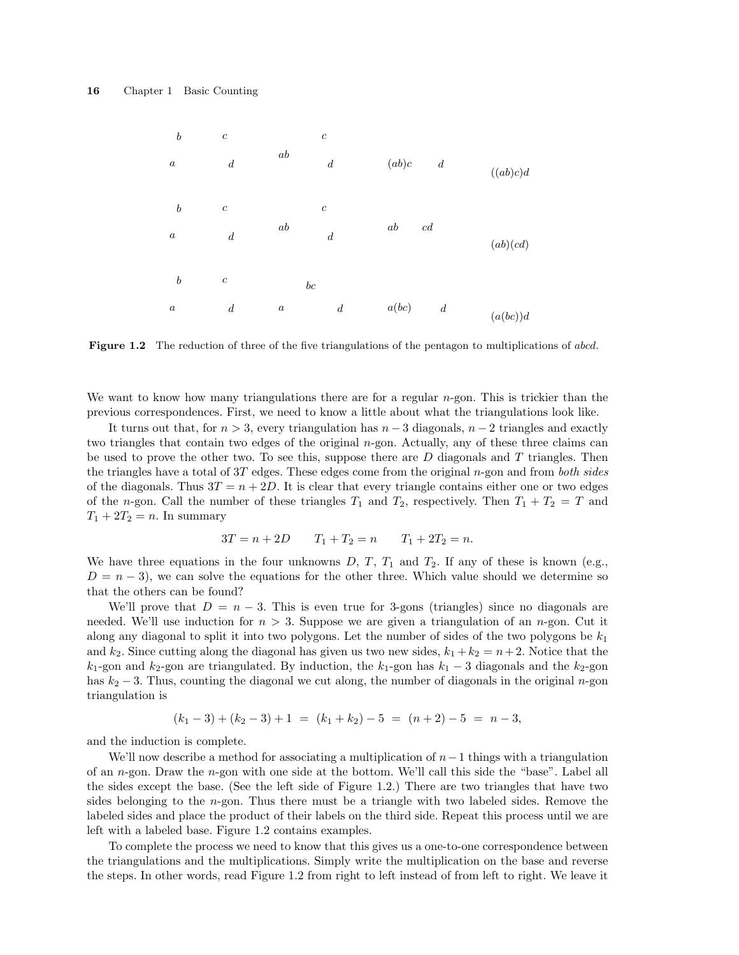

Figure 1.2 The reduction of three of the five triangulations of the pentagon to multiplications of abcd.

We want to know how many triangulations there are for a regular n-gon. This is trickier than the previous correspondences. First, we need to know a little about what the triangulations look like.

It turns out that, for  $n > 3$ , every triangulation has  $n - 3$  diagonals,  $n - 2$  triangles and exactly two triangles that contain two edges of the original n-gon. Actually, any of these three claims can be used to prove the other two. To see this, suppose there are  $D$  diagonals and  $T$  triangles. Then the triangles have a total of  $3T$  edges. These edges come from the original n-gon and from both sides of the diagonals. Thus  $3T = n + 2D$ . It is clear that every triangle contains either one or two edges of the n-gon. Call the number of these triangles  $T_1$  and  $T_2$ , respectively. Then  $T_1 + T_2 = T$  and  $T_1 + 2T_2 = n$ . In summary

$$
3T = n + 2D \qquad T_1 + T_2 = n \qquad T_1 + 2T_2 = n.
$$

We have three equations in the four unknowns  $D, T, T_1$  and  $T_2$ . If any of these is known (e.g.,  $D = n - 3$ , we can solve the equations for the other three. Which value should we determine so that the others can be found?

We'll prove that  $D = n - 3$ . This is even true for 3-gons (triangles) since no diagonals are needed. We'll use induction for  $n > 3$ . Suppose we are given a triangulation of an *n*-gon. Cut it along any diagonal to split it into two polygons. Let the number of sides of the two polygons be  $k_1$ and  $k_2$ . Since cutting along the diagonal has given us two new sides,  $k_1 + k_2 = n+2$ . Notice that the  $k_1$ -gon and  $k_2$ -gon are triangulated. By induction, the  $k_1$ -gon has  $k_1 - 3$  diagonals and the  $k_2$ -gon has  $k_2 - 3$ . Thus, counting the diagonal we cut along, the number of diagonals in the original n-gon triangulation is

$$
(k_1-3)+(k_2-3)+1 = (k_1+k_2)-5 = (n+2)-5 = n-3,
$$

and the induction is complete.

We'll now describe a method for associating a multiplication of  $n-1$  things with a triangulation of an  $n$ -gon. Draw the  $n$ -gon with one side at the bottom. We'll call this side the "base". Label all the sides except the base. (See the left side of Figure 1.2.) There are two triangles that have two sides belonging to the  $n$ -gon. Thus there must be a triangle with two labeled sides. Remove the labeled sides and place the product of their labels on the third side. Repeat this process until we are left with a labeled base. Figure 1.2 contains examples.

To complete the process we need to know that this gives us a one-to-one correspondence between the triangulations and the multiplications. Simply write the multiplication on the base and reverse the steps. In other words, read Figure 1.2 from right to left instead of from left to right. We leave it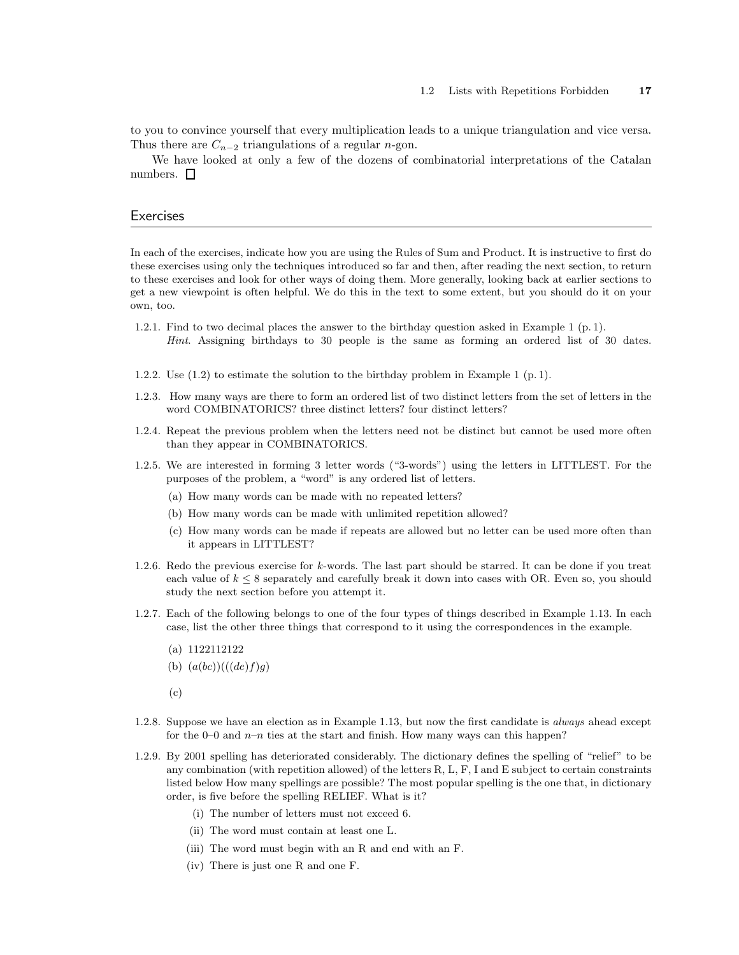to you to convince yourself that every multiplication leads to a unique triangulation and vice versa. Thus there are  $C_{n-2}$  triangulations of a regular *n*-gon.

We have looked at only a few of the dozens of combinatorial interpretations of the Catalan numbers.  $\Box$ 

#### **Exercises**

In each of the exercises, indicate how you are using the Rules of Sum and Product. It is instructive to first do these exercises using only the techniques introduced so far and then, after reading the next section, to return to these exercises and look for other ways of doing them. More generally, looking back at earlier sections to get a new viewpoint is often helpful. We do this in the text to some extent, but you should do it on your own, too.

- 1.2.1. Find to two decimal places the answer to the birthday question asked in Example 1 (p. 1). Hint. Assigning birthdays to 30 people is the same as forming an ordered list of 30 dates.
- 1.2.2. Use (1.2) to estimate the solution to the birthday problem in Example 1 (p. 1).
- 1.2.3. How many ways are there to form an ordered list of two distinct letters from the set of letters in the word COMBINATORICS? three distinct letters? four distinct letters?
- 1.2.4. Repeat the previous problem when the letters need not be distinct but cannot be used more often than they appear in COMBINATORICS.
- 1.2.5. We are interested in forming 3 letter words ("3-words") using the letters in LITTLEST. For the purposes of the problem, a "word" is any ordered list of letters.
	- (a) How many words can be made with no repeated letters?
	- (b) How many words can be made with unlimited repetition allowed?
	- (c) How many words can be made if repeats are allowed but no letter can be used more often than it appears in LITTLEST?
- 1.2.6. Redo the previous exercise for k-words. The last part should be starred. It can be done if you treat each value of  $k \leq 8$  separately and carefully break it down into cases with OR. Even so, you should study the next section before you attempt it.
- 1.2.7. Each of the following belongs to one of the four types of things described in Example 1.13. In each case, list the other three things that correspond to it using the correspondences in the example.
	- (a) 1122112122
	- (b)  $(a(bc))(((de)f)g)$
	- (c)
- 1.2.8. Suppose we have an election as in Example 1.13, but now the first candidate is *always* ahead except for the 0–0 and  $n-n$  ties at the start and finish. How many ways can this happen?
- 1.2.9. By 2001 spelling has deteriorated considerably. The dictionary defines the spelling of "relief" to be any combination (with repetition allowed) of the letters R, L, F, I and E subject to certain constraints listed below How many spellings are possible? The most popular spelling is the one that, in dictionary order, is five before the spelling RELIEF. What is it?
	- (i) The number of letters must not exceed 6.
	- (ii) The word must contain at least one L.
	- (iii) The word must begin with an R and end with an F.
	- (iv) There is just one R and one F.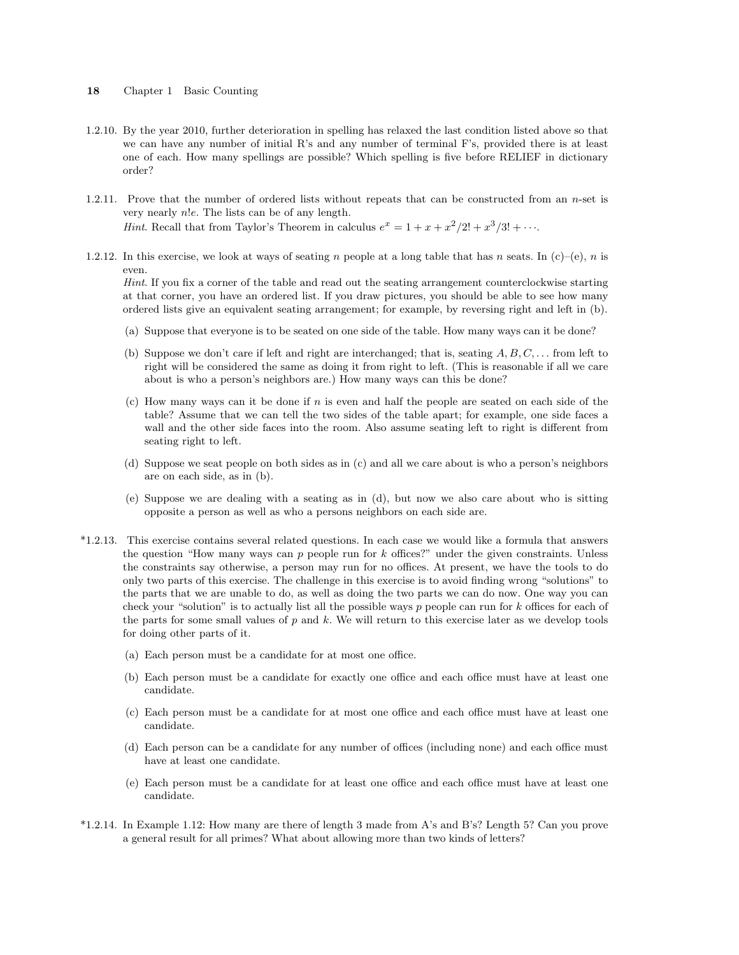- 18 Chapter 1 Basic Counting
- 1.2.10. By the year 2010, further deterioration in spelling has relaxed the last condition listed above so that we can have any number of initial R's and any number of terminal F's, provided there is at least one of each. How many spellings are possible? Which spelling is five before RELIEF in dictionary order?
- 1.2.11. Prove that the number of ordered lists without repeats that can be constructed from an  $n$ -set is very nearly n!e. The lists can be of any length. *Hint*. Recall that from Taylor's Theorem in calculus  $e^x = 1 + x + x^2/2! + x^3/3! + \cdots$ .
- 1.2.12. In this exercise, we look at ways of seating n people at a long table that has n seats. In (c)–(e), n is even.

Hint. If you fix a corner of the table and read out the seating arrangement counterclockwise starting at that corner, you have an ordered list. If you draw pictures, you should be able to see how many ordered lists give an equivalent seating arrangement; for example, by reversing right and left in (b).

- (a) Suppose that everyone is to be seated on one side of the table. How many ways can it be done?
- (b) Suppose we don't care if left and right are interchanged; that is, seating  $A, B, C, \ldots$  from left to right will be considered the same as doing it from right to left. (This is reasonable if all we care about is who a person's neighbors are.) How many ways can this be done?
- $(c)$  How many ways can it be done if n is even and half the people are seated on each side of the table? Assume that we can tell the two sides of the table apart; for example, one side faces a wall and the other side faces into the room. Also assume seating left to right is different from seating right to left.
- (d) Suppose we seat people on both sides as in (c) and all we care about is who a person's neighbors are on each side, as in (b).
- (e) Suppose we are dealing with a seating as in (d), but now we also care about who is sitting opposite a person as well as who a persons neighbors on each side are.
- \*1.2.13. This exercise contains several related questions. In each case we would like a formula that answers the question "How many ways can  $p$  people run for  $k$  offices?" under the given constraints. Unless the constraints say otherwise, a person may run for no offices. At present, we have the tools to do only two parts of this exercise. The challenge in this exercise is to avoid finding wrong "solutions" to the parts that we are unable to do, as well as doing the two parts we can do now. One way you can check your "solution" is to actually list all the possible ways  $p$  people can run for  $k$  offices for each of the parts for some small values of  $p$  and  $k$ . We will return to this exercise later as we develop tools for doing other parts of it.
	- (a) Each person must be a candidate for at most one office.
	- (b) Each person must be a candidate for exactly one office and each office must have at least one candidate.
	- (c) Each person must be a candidate for at most one office and each office must have at least one candidate.
	- (d) Each person can be a candidate for any number of offices (including none) and each office must have at least one candidate.
	- (e) Each person must be a candidate for at least one office and each office must have at least one candidate.
- \*1.2.14. In Example 1.12: How many are there of length 3 made from A's and B's? Length 5? Can you prove a general result for all primes? What about allowing more than two kinds of letters?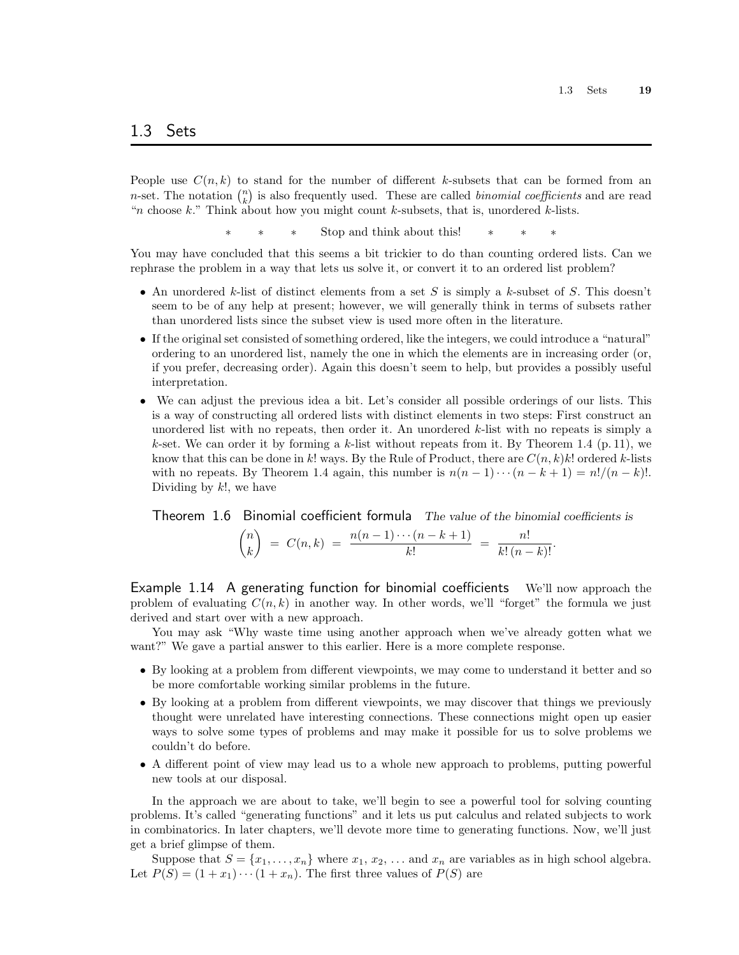## 1.3 Sets

People use  $C(n, k)$  to stand for the number of different k-subsets that can be formed from an *n*-set. The notation  $\binom{n}{k}$  is also frequently used. These are called *binomial coefficients* and are read "n choose  $k$ ." Think about how you might count  $k$ -subsets, that is, unordered  $k$ -lists.

Stop and think about this!

You may have concluded that this seems a bit trickier to do than counting ordered lists. Can we rephrase the problem in a way that lets us solve it, or convert it to an ordered list problem?

- An unordered k-list of distinct elements from a set S is simply a k-subset of S. This doesn't seem to be of any help at present; however, we will generally think in terms of subsets rather than unordered lists since the subset view is used more often in the literature.
- If the original set consisted of something ordered, like the integers, we could introduce a "natural" ordering to an unordered list, namely the one in which the elements are in increasing order (or, if you prefer, decreasing order). Again this doesn't seem to help, but provides a possibly useful interpretation.
- We can adjust the previous idea a bit. Let's consider all possible orderings of our lists. This is a way of constructing all ordered lists with distinct elements in two steps: First construct an unordered list with no repeats, then order it. An unordered  $k$ -list with no repeats is simply a k-set. We can order it by forming a k-list without repeats from it. By Theorem 1.4 (p. 11), we know that this can be done in k! ways. By the Rule of Product, there are  $C(n, k)k!$  ordered k-lists with no repeats. By Theorem 1.4 again, this number is  $n(n-1)\cdots(n-k+1) = n!/(n-k)!$ . Dividing by  $k!$ , we have

Theorem 1.6 Binomial coefficient formula The value of the binomial coefficients is

$$
\binom{n}{k} = C(n,k) = \frac{n(n-1)\cdots(n-k+1)}{k!} = \frac{n!}{k!(n-k)!}.
$$

Example 1.14 A generating function for binomial coefficients We'll now approach the problem of evaluating  $C(n, k)$  in another way. In other words, we'll "forget" the formula we just derived and start over with a new approach.

You may ask "Why waste time using another approach when we've already gotten what we want?" We gave a partial answer to this earlier. Here is a more complete response.

- By looking at a problem from different viewpoints, we may come to understand it better and so be more comfortable working similar problems in the future.
- By looking at a problem from different viewpoints, we may discover that things we previously thought were unrelated have interesting connections. These connections might open up easier ways to solve some types of problems and may make it possible for us to solve problems we couldn't do before.
- A different point of view may lead us to a whole new approach to problems, putting powerful new tools at our disposal.

In the approach we are about to take, we'll begin to see a powerful tool for solving counting problems. It's called "generating functions" and it lets us put calculus and related subjects to work in combinatorics. In later chapters, we'll devote more time to generating functions. Now, we'll just get a brief glimpse of them.

Suppose that  $S = \{x_1, \ldots, x_n\}$  where  $x_1, x_2, \ldots$  and  $x_n$  are variables as in high school algebra. Let  $P(S) = (1 + x_1) \cdots (1 + x_n)$ . The first three values of  $P(S)$  are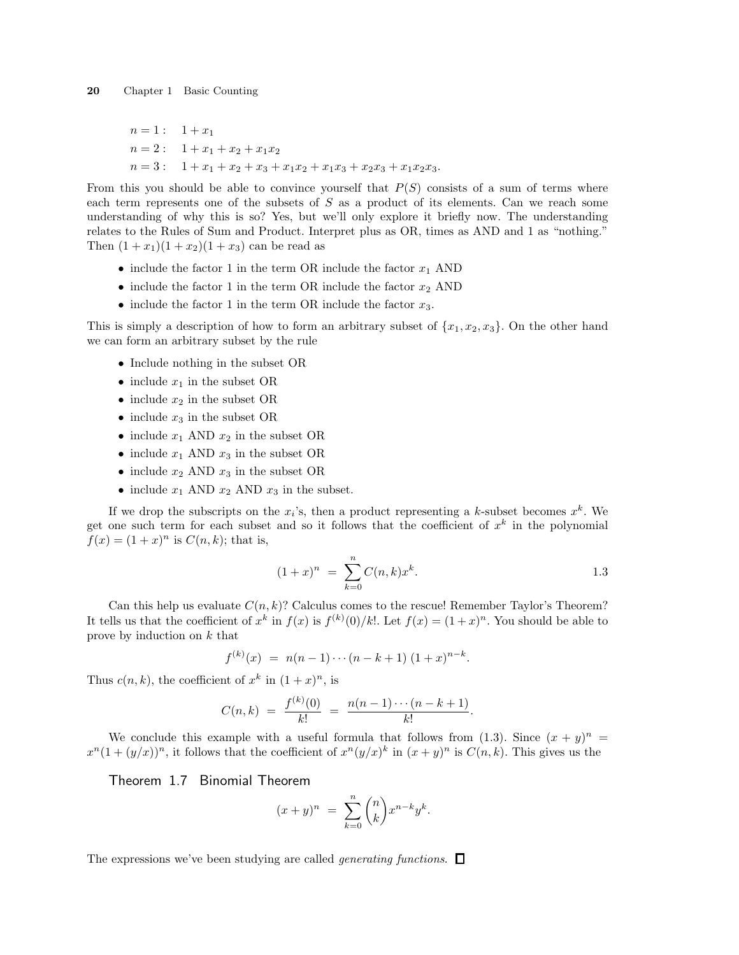$n = 1: 1 + x_1$  $n = 2$ :  $1 + x_1 + x_2 + x_1x_2$  $n = 3: 1 + x_1 + x_2 + x_3 + x_1x_2 + x_1x_3 + x_2x_3 + x_1x_2x_3.$ 

From this you should be able to convince yourself that  $P(S)$  consists of a sum of terms where each term represents one of the subsets of S as a product of its elements. Can we reach some understanding of why this is so? Yes, but we'll only explore it briefly now. The understanding relates to the Rules of Sum and Product. Interpret plus as OR, times as AND and 1 as "nothing." Then  $(1 + x_1)(1 + x_2)(1 + x_3)$  can be read as

- $\bullet\,$  include the factor 1 in the term OR include the factor  $x_1$  AND
- include the factor 1 in the term OR include the factor  $x_2$  AND
- include the factor 1 in the term OR include the factor  $x_3$ .

This is simply a description of how to form an arbitrary subset of  $\{x_1, x_2, x_3\}$ . On the other hand we can form an arbitrary subset by the rule

- Include nothing in the subset OR
- include  $x_1$  in the subset OR
- include  $x_2$  in the subset OR
- include  $x_3$  in the subset OR
- include  $x_1$  AND  $x_2$  in the subset OR
- include  $x_1$  AND  $x_3$  in the subset OR
- include  $x_2$  AND  $x_3$  in the subset OR
- include  $x_1$  AND  $x_2$  AND  $x_3$  in the subset.

If we drop the subscripts on the  $x_i$ 's, then a product representing a k-subset becomes  $x^k$ . We get one such term for each subset and so it follows that the coefficient of  $x^k$  in the polynomial  $f(x) = (1+x)^n$  is  $C(n, k)$ ; that is,

$$
(1+x)^n = \sum_{k=0}^n C(n,k)x^k.
$$

Can this help us evaluate  $C(n, k)$ ? Calculus comes to the rescue! Remember Taylor's Theorem? It tells us that the coefficient of  $x^k$  in  $f(x)$  is  $f^{(k)}(0)/k!$ . Let  $f(x) = (1+x)^n$ . You should be able to prove by induction on  $k$  that

$$
f^{(k)}(x) = n(n-1)\cdots(n-k+1) (1+x)^{n-k}.
$$

Thus  $c(n, k)$ , the coefficient of  $x^k$  in  $(1 + x)^n$ , is

$$
C(n,k) = \frac{f^{(k)}(0)}{k!} = \frac{n(n-1)\cdots(n-k+1)}{k!}.
$$

We conclude this example with a useful formula that follows from (1.3). Since  $(x + y)^n$  $x^{n}(1+(y/x))^{n}$ , it follows that the coefficient of  $x^{n}(y/x)^{k}$  in  $(x+y)^{n}$  is  $C(n, k)$ . This gives us the

Theorem 1.7 Binomial Theorem

$$
(x+y)^n = \sum_{k=0}^n \binom{n}{k} x^{n-k} y^k.
$$

The expressions we've been studying are called *generating functions*.  $\Box$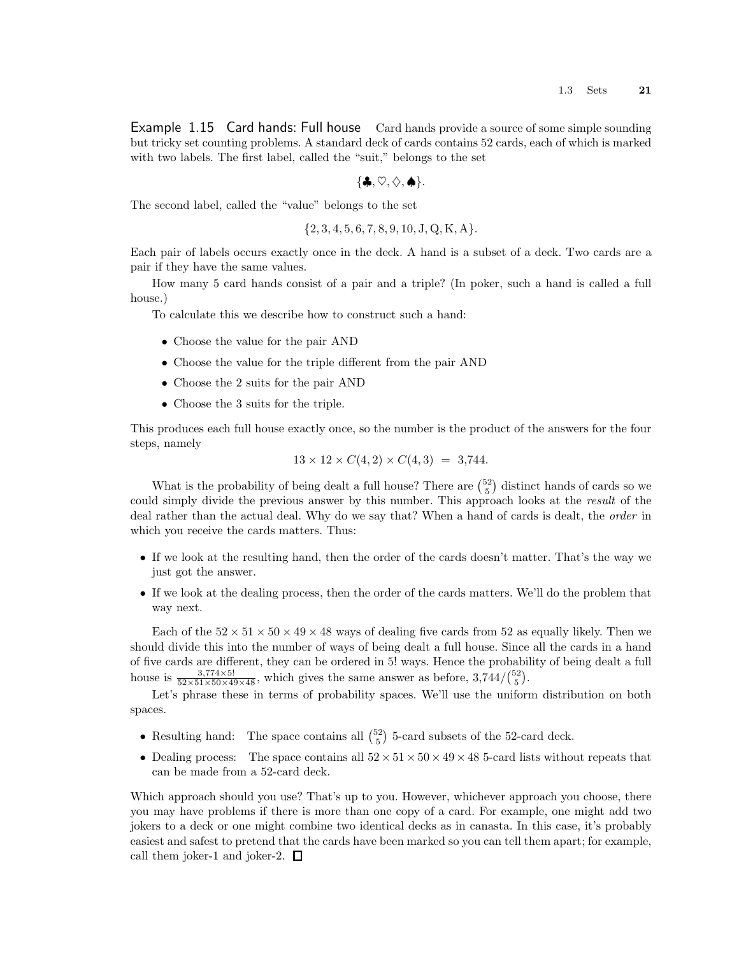Example 1.15 Card hands: Full house Card hands provide a source of some simple sounding but tricky set counting problems. A standard deck of cards contains 52 cards, each of which is marked with two labels. The first label, called the "suit," belongs to the set

$$
\{\clubsuit, \heartsuit, \diamondsuit, \spadesuit\}.
$$

The second label, called the "value" belongs to the set

$$
\{2, 3, 4, 5, 6, 7, 8, 9, 10, J, Q, K, A\}.
$$

Each pair of labels occurs exactly once in the deck. A hand is a subset of a deck. Two cards are a pair if they have the same values.

How many 5 card hands consist of a pair and a triple? (In poker, such a hand is called a full house.)

To calculate this we describe how to construct such a hand:

- Choose the value for the pair AND
- Choose the value for the triple different from the pair AND
- Choose the 2 suits for the pair AND
- Choose the 3 suits for the triple.

This produces each full house exactly once, so the number is the product of the answers for the four steps, namely

$$
13 \times 12 \times C(4,2) \times C(4,3) = 3,744.
$$

What is the probability of being dealt a full house? There are  $\binom{52}{5}$  distinct hands of cards so we could simply divide the previous answer by this number. This approach looks at the *result* of the deal rather than the actual deal. Why do we say that? When a hand of cards is dealt, the *order* in which you receive the cards matters. Thus:

- If we look at the resulting hand, then the order of the cards doesn't matter. That's the way we just got the answer.
- If we look at the dealing process, then the order of the cards matters. We'll do the problem that way next.

Each of the  $52 \times 51 \times 50 \times 49 \times 48$  ways of dealing five cards from 52 as equally likely. Then we should divide this into the number of ways of being dealt a full house. Since all the cards in a hand of five cards are different, they can be ordered in 5! ways. Hence the probability of being dealt a full house is  $\frac{3,774\times5!}{52\times51\times50\times49\times48}$ , which gives the same answer as before, 3,744/ $\binom{52}{5}$ .

Let's phrase these in terms of probability spaces. We'll use the uniform distribution on both spaces.

- Resulting hand: The space contains all  $\binom{52}{5}$  5-card subsets of the 52-card deck.
- Dealing process: The space contains all  $52 \times 51 \times 50 \times 49 \times 48$  5-card lists without repeats that can be made from a 52-card deck.

Which approach should you use? That's up to you. However, whichever approach you choose, there you may have problems if there is more than one copy of a card. For example, one might add two jokers to a deck or one might combine two identical decks as in canasta. In this case, it's probably easiest and safest to pretend that the cards have been marked so you can tell them apart; for example, call them joker-1 and joker-2.  $\Box$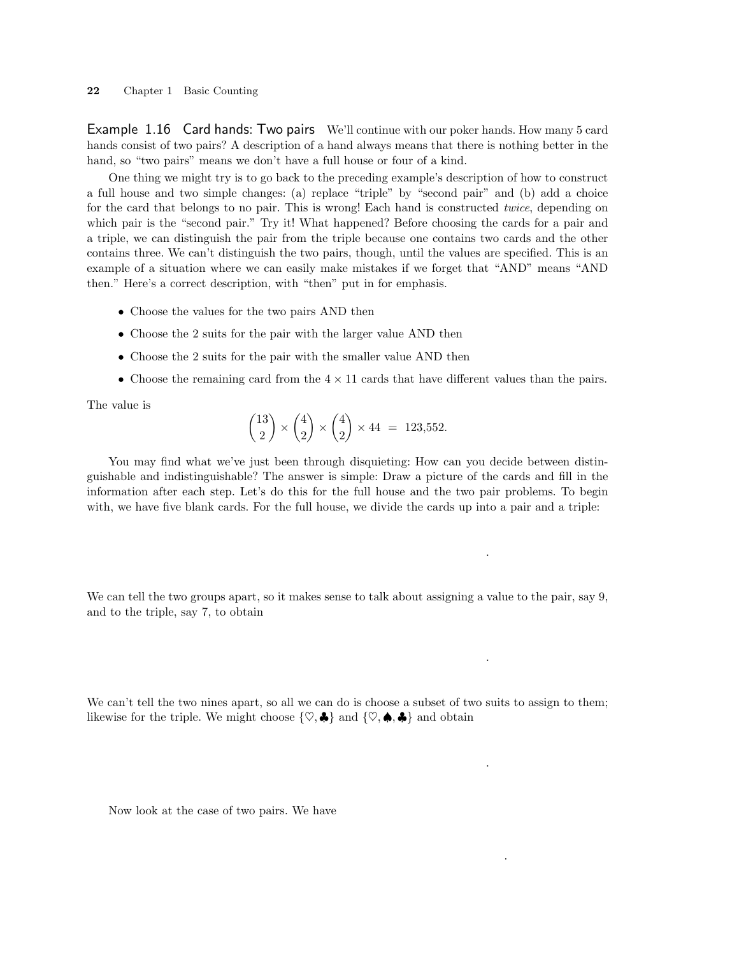Example 1.16 Card hands: Two pairs We'll continue with our poker hands. How many 5 card hands consist of two pairs? A description of a hand always means that there is nothing better in the hand, so "two pairs" means we don't have a full house or four of a kind.

One thing we might try is to go back to the preceding example's description of how to construct a full house and two simple changes: (a) replace "triple" by "second pair" and (b) add a choice for the card that belongs to no pair. This is wrong! Each hand is constructed twice, depending on which pair is the "second pair." Try it! What happened? Before choosing the cards for a pair and a triple, we can distinguish the pair from the triple because one contains two cards and the other contains three. We can't distinguish the two pairs, though, until the values are specified. This is an example of a situation where we can easily make mistakes if we forget that "AND" means "AND then." Here's a correct description, with "then" put in for emphasis.

- Choose the values for the two pairs AND then
- Choose the 2 suits for the pair with the larger value AND then
- Choose the 2 suits for the pair with the smaller value AND then
- Choose the remaining card from the  $4 \times 11$  cards that have different values than the pairs.

The value is

$$
\binom{13}{2} \times \binom{4}{2} \times \binom{4}{2} \times 44 = 123,552.
$$

You may find what we've just been through disquieting: How can you decide between distinguishable and indistinguishable? The answer is simple: Draw a picture of the cards and fill in the information after each step. Let's do this for the full house and the two pair problems. To begin with, we have five blank cards. For the full house, we divide the cards up into a pair and a triple:

We can tell the two groups apart, so it makes sense to talk about assigning a value to the pair, say 9, and to the triple, say 7, to obtain

.

.

.

.

We can't tell the two nines apart, so all we can do is choose a subset of two suits to assign to them; likewise for the triple. We might choose  $\{\heartsuit, \clubsuit\}$  and  $\{\heartsuit, \spadesuit, \clubsuit\}$  and obtain

Now look at the case of two pairs. We have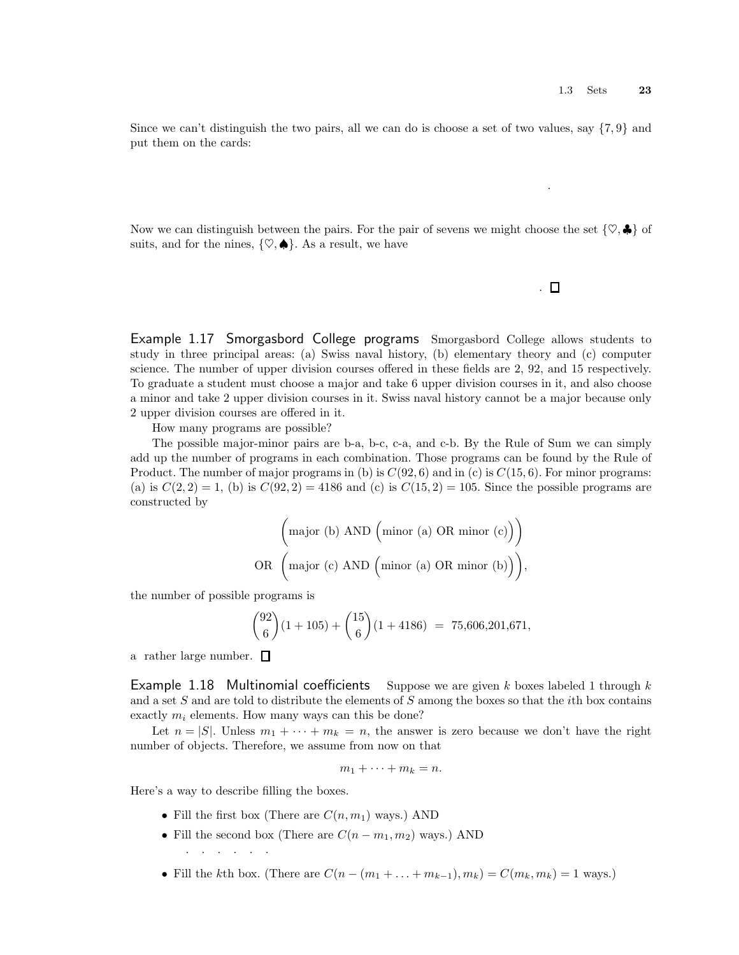Since we can't distinguish the two pairs, all we can do is choose a set of two values, say {7, 9} and put them on the cards:

Now we can distinguish between the pairs. For the pair of sevens we might choose the set  $\{\heartsuit, \clubsuit\}$  of suits, and for the nines,  $\{\heartsuit, \spadesuit\}$ . As a result, we have

. D

.

Example 1.17 Smorgasbord College programs Smorgasbord College allows students to study in three principal areas: (a) Swiss naval history, (b) elementary theory and (c) computer science. The number of upper division courses offered in these fields are 2, 92, and 15 respectively. To graduate a student must choose a major and take 6 upper division courses in it, and also choose a minor and take 2 upper division courses in it. Swiss naval history cannot be a major because only 2 upper division courses are offered in it.

How many programs are possible?

The possible major-minor pairs are b-a, b-c, c-a, and c-b. By the Rule of Sum we can simply add up the number of programs in each combination. Those programs can be found by the Rule of Product. The number of major programs in (b) is  $C(92, 6)$  and in (c) is  $C(15, 6)$ . For minor programs: (a) is  $C(2, 2) = 1$ , (b) is  $C(92, 2) = 4186$  and (c) is  $C(15, 2) = 105$ . Since the possible programs are constructed by

$$
\begin{array}{c} \Big(\text{major (b) AND (minor (a) OR minor (c))}\Big) \\ \text{OR (major (c) AND (minor (a) OR minor (b))}\Big), \end{array}
$$

the number of possible programs is

$$
\binom{92}{6}(1+105) + \binom{15}{6}(1+4186) = 75,606,201,671,
$$

a rather large number.  $\square$ 

Example 1.18 Multinomial coefficients Suppose we are given  $k$  boxes labeled 1 through  $k$ and a set  $S$  and are told to distribute the elements of  $S$  among the boxes so that the *i*th box contains exactly  $m_i$  elements. How many ways can this be done?

Let  $n = |S|$ . Unless  $m_1 + \cdots + m_k = n$ , the answer is zero because we don't have the right number of objects. Therefore, we assume from now on that

$$
m_1 + \cdots + m_k = n.
$$

Here's a way to describe filling the boxes.

- Fill the first box (There are  $C(n, m_1)$  ways.) AND
- Fill the second box (There are  $C(n m_1, m_2)$  ways.) AND
- . . . . . . . .
- Fill the kth box. (There are  $C(n (m_1 + ... + m_{k-1}), m_k) = C(m_k, m_k) = 1$  ways.)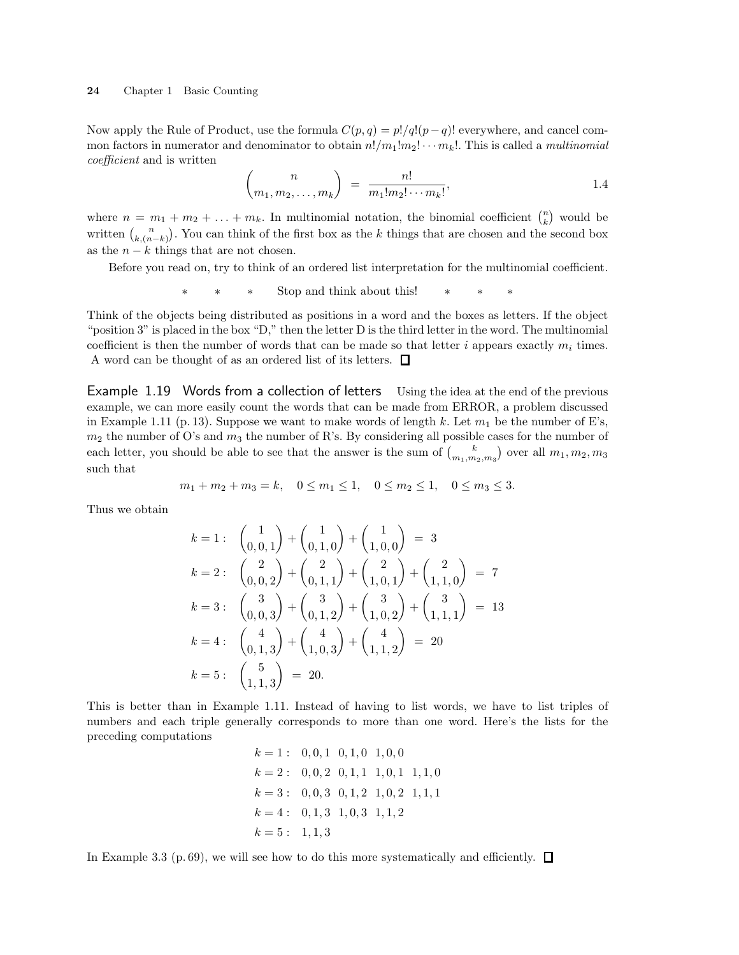Now apply the Rule of Product, use the formula  $C(p, q) = p!/q!(p-q)!$  everywhere, and cancel common factors in numerator and denominator to obtain  $n!/m_1!m_2! \cdots m_k!$ . This is called a *multinomial* coefficient and is written

$$
\binom{n}{m_1, m_2, \dots, m_k} = \frac{n!}{m_1! m_2! \cdots m_k!},
$$
 1.4

where  $n = m_1 + m_2 + \ldots + m_k$ . In multinomial notation, the binomial coefficient  $\binom{n}{k}$  would be written  $\binom{n}{k,(n-k)}$ . You can think of the first box as the k things that are chosen and the second box as the  $n - k$  things that are not chosen.

Before you read on, try to think of an ordered list interpretation for the multinomial coefficient.

∗ ∗ ∗ Stop and think about this! ∗ ∗ ∗

Think of the objects being distributed as positions in a word and the boxes as letters. If the object "position 3" is placed in the box "D," then the letter D is the third letter in the word. The multinomial coefficient is then the number of words that can be made so that letter i appears exactly  $m_i$  times. A word can be thought of as an ordered list of its letters.  $\Box$ 

Example 1.19 Words from a collection of letters Using the idea at the end of the previous example, we can more easily count the words that can be made from ERROR, a problem discussed in Example 1.11 (p. 13). Suppose we want to make words of length k. Let  $m_1$  be the number of E's,  $m_2$  the number of O's and  $m_3$  the number of R's. By considering all possible cases for the number of each letter, you should be able to see that the answer is the sum of  $\binom{k}{m_1,m_2,m_3}$  over all  $m_1, m_2, m_3$ such that

$$
m_1 + m_2 + m_3 = k
$$
,  $0 \le m_1 \le 1$ ,  $0 \le m_2 \le 1$ ,  $0 \le m_3 \le 3$ .

Thus we obtain

$$
k = 1: \begin{pmatrix} 1 \\ 0,0,1 \end{pmatrix} + \begin{pmatrix} 1 \\ 0,1,0 \end{pmatrix} + \begin{pmatrix} 1 \\ 1,0,0 \end{pmatrix} = 3
$$
  
\n
$$
k = 2: \begin{pmatrix} 2 \\ 0,0,2 \end{pmatrix} + \begin{pmatrix} 2 \\ 0,1,1 \end{pmatrix} + \begin{pmatrix} 2 \\ 1,0,1 \end{pmatrix} + \begin{pmatrix} 2 \\ 1,1,0 \end{pmatrix} = 7
$$
  
\n
$$
k = 3: \begin{pmatrix} 3 \\ 0,0,3 \end{pmatrix} + \begin{pmatrix} 3 \\ 0,1,2 \end{pmatrix} + \begin{pmatrix} 3 \\ 1,0,2 \end{pmatrix} + \begin{pmatrix} 3 \\ 1,1,1 \end{pmatrix} = 13
$$
  
\n
$$
k = 4: \begin{pmatrix} 4 \\ 0,1,3 \end{pmatrix} + \begin{pmatrix} 4 \\ 1,0,3 \end{pmatrix} + \begin{pmatrix} 4 \\ 1,1,2 \end{pmatrix} = 20
$$
  
\n
$$
k = 5: \begin{pmatrix} 5 \\ 1,1,3 \end{pmatrix} = 20.
$$

This is better than in Example 1.11. Instead of having to list words, we have to list triples of numbers and each triple generally corresponds to more than one word. Here's the lists for the preceding computations

$$
k = 1: \quad 0, 0, 1 \quad 0, 1, 0 \quad 1, 0, 0
$$
\n
$$
k = 2: \quad 0, 0, 2 \quad 0, 1, 1 \quad 1, 0, 1 \quad 1, 1, 0
$$
\n
$$
k = 3: \quad 0, 0, 3 \quad 0, 1, 2 \quad 1, 0, 2 \quad 1, 1, 1
$$
\n
$$
k = 4: \quad 0, 1, 3 \quad 1, 0, 3 \quad 1, 1, 2
$$
\n
$$
k = 5: \quad 1, 1, 3
$$

In Example 3.3 (p. 69), we will see how to do this more systematically and efficiently.  $\Box$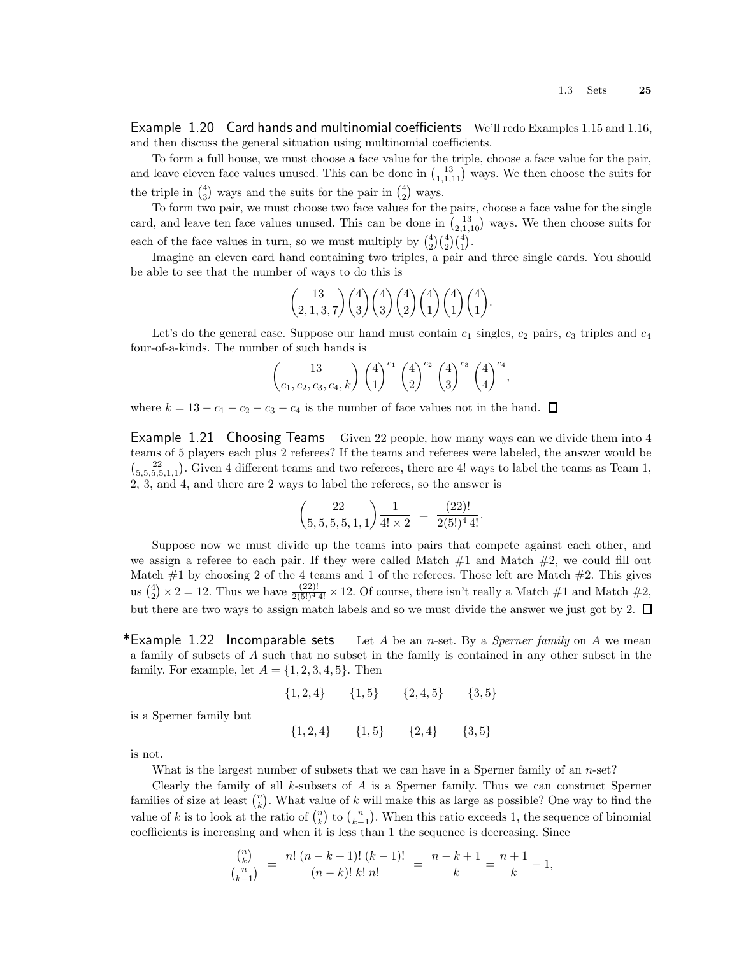Example 1.20 Card hands and multinomial coefficients We'll redo Examples 1.15 and 1.16, and then discuss the general situation using multinomial coefficients.

To form a full house, we must choose a face value for the triple, choose a face value for the pair, and leave eleven face values unused. This can be done in  $\binom{13}{1,1,11}$  ways. We then choose the suits for the triple in  $\binom{4}{3}$  ways and the suits for the pair in  $\binom{4}{2}$  ways.

To form two pair, we must choose two face values for the pairs, choose a face value for the single card, and leave ten face values unused. This can be done in  $\binom{13}{2,1,10}$  ways. We then choose suits for each of the face values in turn, so we must multiply by  $\binom{4}{2}\binom{4}{2}\binom{4}{1}$ .

Imagine an eleven card hand containing two triples, a pair and three single cards. You should be able to see that the number of ways to do this is

$$
\binom{13}{2,1,3,7}\binom{4}{3}\binom{4}{3}\binom{4}{2}\binom{4}{1}\binom{4}{1}\binom{4}{1}.
$$

Let's do the general case. Suppose our hand must contain  $c_1$  singles,  $c_2$  pairs,  $c_3$  triples and  $c_4$ four-of-a-kinds. The number of such hands is

$$
\binom{13}{c_1, c_2, c_3, c_4, k} \binom{4}{1}^{c_1} \binom{4}{2}^{c_2} \binom{4}{3}^{c_3} \binom{4}{4}^{c_4},
$$

where  $k = 13 - c_1 - c_2 - c_3 - c_4$  is the number of face values not in the hand.  $\Box$ 

Example 1.21 Choosing Teams Given 22 people, how many ways can we divide them into 4 teams of 5 players each plus 2 referees? If the teams and referees were labeled, the answer would be  $\binom{22}{5,5,5,5,1,1}$ . Given 4 different teams and two referees, there are 4! ways to label the teams as Team 1, 2, 3, and 4, and there are 2 ways to label the referees, so the answer is

$$
\binom{22}{5,5,5,5,1,1} \frac{1}{4! \times 2} = \frac{(22)!}{2(5!)^4 4!}.
$$

Suppose now we must divide up the teams into pairs that compete against each other, and we assign a referee to each pair. If they were called Match  $#1$  and Match  $#2$ , we could fill out Match  $#1$  by choosing 2 of the 4 teams and 1 of the referees. Those left are Match  $#2$ . This gives us  $\binom{4}{2} \times 2 = 12$ . Thus we have  $\frac{(22)!}{2(5!)^4 4!} \times 12$ . Of course, there isn't really a Match #1 and Match #2, but there are two ways to assign match labels and so we must divide the answer we just got by 2.  $\Box$ 

\*Example 1.22 Incomparable sets Let A be an n-set. By a *Sperner family* on A we mean a family of subsets of A such that no subset in the family is contained in any other subset in the family. For example, let  $A = \{1, 2, 3, 4, 5\}$ . Then

 ${1, 2, 4}$   ${1, 5}$   ${2, 4, 5}$   ${3, 5}$ 

is a Sperner family but

 ${1, 2, 4}$   ${1, 5}$   ${2, 4}$   ${3, 5}$ 

is not.

What is the largest number of subsets that we can have in a Sperner family of an  $n$ -set?

Clearly the family of all  $k$ -subsets of  $A$  is a Sperner family. Thus we can construct Sperner families of size at least  $\binom{n}{k}$ . What value of k will make this as large as possible? One way to find the value of k is to look at the ratio of  $\binom{n}{k}$  to  $\binom{n}{k-1}$ . When this ratio exceeds 1, the sequence of binomial coefficients is increasing and when it is less than 1 the sequence is decreasing. Since

$$
\frac{\binom{n}{k}}{\binom{n}{k-1}} = \frac{n! (n-k+1)! (k-1)!}{(n-k)! k! n!} = \frac{n-k+1}{k} = \frac{n+1}{k} - 1,
$$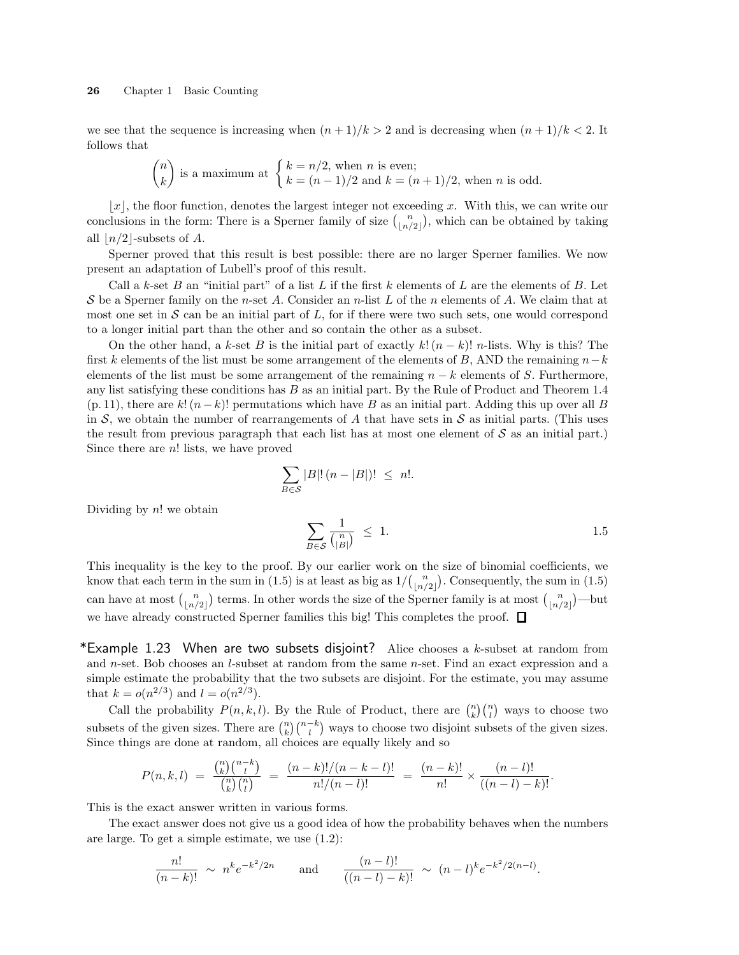we see that the sequence is increasing when  $(n+1)/k > 2$  and is decreasing when  $(n+1)/k < 2$ . It follows that

$$
\binom{n}{k}
$$
 is a maximum at 
$$
\begin{cases} k = n/2, \text{ when } n \text{ is even;} \\ k = (n-1)/2 \text{ and } k = (n+1)/2, \text{ when } n \text{ is odd.} \end{cases}
$$

 $|x|$ , the floor function, denotes the largest integer not exceeding x. With this, we can write our conclusions in the form: There is a Sperner family of size  $\binom{n}{\lfloor n/2 \rfloor}$ , which can be obtained by taking all  $\lfloor n/2 \rfloor$ -subsets of A.

Sperner proved that this result is best possible: there are no larger Sperner families. We now present an adaptation of Lubell's proof of this result.

Call a k-set B an "initial part" of a list L if the first k elements of L are the elements of B. Let S be a Sperner family on the *n*-set A. Consider an *n*-list L of the *n* elements of A. We claim that at most one set in  $S$  can be an initial part of  $L$ , for if there were two such sets, one would correspond to a longer initial part than the other and so contain the other as a subset.

On the other hand, a k-set B is the initial part of exactly k!  $(n - k)!$  n-lists. Why is this? The first k elements of the list must be some arrangement of the elements of B, AND the remaining  $n-k$ elements of the list must be some arrangement of the remaining  $n - k$  elements of S. Furthermore, any list satisfying these conditions has B as an initial part. By the Rule of Product and Theorem 1.4  $(p, 11)$ , there are k!  $(n - k)$ ! permutations which have B as an initial part. Adding this up over all B in S, we obtain the number of rearrangements of A that have sets in S as initial parts. (This uses the result from previous paragraph that each list has at most one element of  $S$  as an initial part.) Since there are  $n!$  lists, we have proved

$$
\sum_{B \in \mathcal{S}} |B|! \ (n - |B|)! \ \leq \ n!.
$$

Dividing by  $n!$  we obtain

$$
\sum_{B \in \mathcal{S}} \frac{1}{\binom{n}{|B|}} \le 1. \tag{1.5}
$$

This inequality is the key to the proof. By our earlier work on the size of binomial coefficients, we know that each term in the sum in (1.5) is at least as big as  $1/{\binom{n}{\lfloor n/2 \rfloor}}$ . Consequently, the sum in (1.5) can have at most  $\binom{n}{\lfloor n/2 \rfloor}$  terms. In other words the size of the Sperner family is at most  $\binom{n}{\lfloor n/2 \rfloor}$ —but we have already constructed Sperner families this big! This completes the proof.  $\Box$ 

\*Example 1.23 When are two subsets disjoint? Alice chooses a k-subset at random from and  $n$ -set. Bob chooses an *l*-subset at random from the same  $n$ -set. Find an exact expression and a simple estimate the probability that the two subsets are disjoint. For the estimate, you may assume that  $k = o(n^{2/3})$  and  $l = o(n^{2/3})$ .

Call the probability  $P(n, k, l)$ . By the Rule of Product, there are  $\binom{n}{k}\binom{n}{l}$  ways to choose two subsets of the given sizes. There are  $\binom{n}{k}\binom{n-k}{l}$  ways to choose two disjoint subsets of the given sizes. Since things are done at random, all choices are equally likely and so

$$
P(n,k,l) = \frac{{n \choose k}{n-k \choose l}}{{n \choose k}{n \choose l}} = \frac{(n-k)!/(n-k-l)!}{n!/(n-l)!} = \frac{(n-k)!}{n!} \times \frac{(n-l)!}{((n-l)-k)!}.
$$

This is the exact answer written in various forms.

The exact answer does not give us a good idea of how the probability behaves when the numbers are large. To get a simple estimate, we use (1.2):

$$
\frac{n!}{(n-k)!} \sim n^k e^{-k^2/2n} \quad \text{and} \quad \frac{(n-l)!}{((n-l)-k)!} \sim (n-l)^k e^{-k^2/2(n-l)}.
$$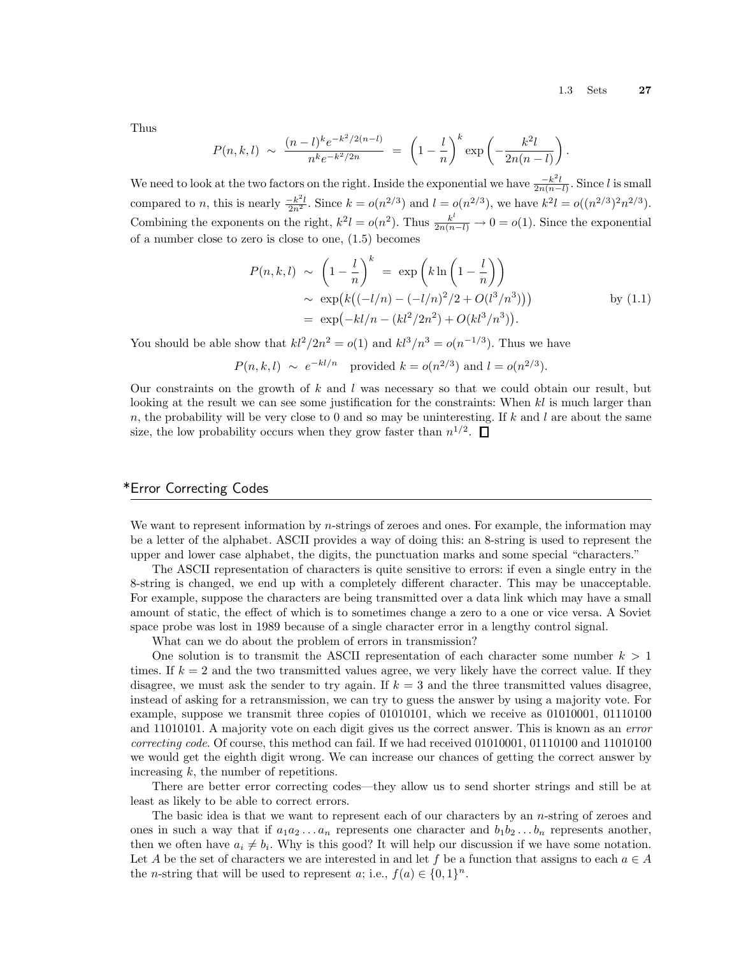.

Thus

$$
P(n,k,l) \sim \frac{(n-l)^k e^{-k^2/2(n-l)}}{n^k e^{-k^2/2n}} = \left(1 - \frac{l}{n}\right)^k \exp\left(-\frac{k^2l}{2n(n-l)}\right)
$$

We need to look at the two factors on the right. Inside the exponential we have  $\frac{-k^2l}{2n(n-l)}$ . Since l is small compared to *n*, this is nearly  $\frac{-k^2l}{2n^2}$ . Since  $k = o(n^{2/3})$  and  $l = o(n^{2/3})$ , we have  $k^2l = o((n^{2/3})^2n^{2/3})$ . Combining the exponents on the right,  $k^2 l = o(n^2)$ . Thus  $\frac{k^l}{2n(n-l)} \to 0 = o(1)$ . Since the exponential of a number close to zero is close to one, (1.5) becomes

$$
P(n,k,l) \sim \left(1 - \frac{l}{n}\right)^k = \exp\left(k\ln\left(1 - \frac{l}{n}\right)\right)
$$
  
 
$$
\sim \exp\left(k\left((-l/n) - (-l/n)^2/2 + O(l^3/n^3)\right)\right)
$$
 by (1.1)  

$$
= \exp(-kl/n - (kl^2/2n^2) + O(kl^3/n^3)).
$$

You should be able show that  $kl^2/2n^2 = o(1)$  and  $kl^3/n^3 = o(n^{-1/3})$ . Thus we have

$$
P(n, k, l) \sim e^{-kl/n}
$$
 provided  $k = o(n^{2/3})$  and  $l = o(n^{2/3})$ .

Our constraints on the growth of k and l was necessary so that we could obtain our result, but looking at the result we can see some justification for the constraints: When  $kl$  is much larger than  $n$ , the probability will be very close to 0 and so may be uninteresting. If k and l are about the same size, the low probability occurs when they grow faster than  $n^{1/2}$ .

## \*Error Correcting Codes

We want to represent information by *n*-strings of zeroes and ones. For example, the information may be a letter of the alphabet. ASCII provides a way of doing this: an 8-string is used to represent the upper and lower case alphabet, the digits, the punctuation marks and some special "characters."

The ASCII representation of characters is quite sensitive to errors: if even a single entry in the 8-string is changed, we end up with a completely different character. This may be unacceptable. For example, suppose the characters are being transmitted over a data link which may have a small amount of static, the effect of which is to sometimes change a zero to a one or vice versa. A Soviet space probe was lost in 1989 because of a single character error in a lengthy control signal.

What can we do about the problem of errors in transmission?

One solution is to transmit the ASCII representation of each character some number  $k > 1$ times. If  $k = 2$  and the two transmitted values agree, we very likely have the correct value. If they disagree, we must ask the sender to try again. If  $k = 3$  and the three transmitted values disagree, instead of asking for a retransmission, we can try to guess the answer by using a majority vote. For example, suppose we transmit three copies of 01010101, which we receive as 01010001, 01110100 and 11010101. A majority vote on each digit gives us the correct answer. This is known as an error correcting code. Of course, this method can fail. If we had received 01010001, 01110100 and 11010100 we would get the eighth digit wrong. We can increase our chances of getting the correct answer by increasing  $k$ , the number of repetitions.

There are better error correcting codes—they allow us to send shorter strings and still be at least as likely to be able to correct errors.

The basic idea is that we want to represent each of our characters by an n-string of zeroes and ones in such a way that if  $a_1a_2...a_n$  represents one character and  $b_1b_2...b_n$  represents another, then we often have  $a_i \neq b_i$ . Why is this good? It will help our discussion if we have some notation. Let A be the set of characters we are interested in and let f be a function that assigns to each  $a \in A$ the *n*-string that will be used to represent *a*; i.e.,  $f(a) \in \{0,1\}^n$ .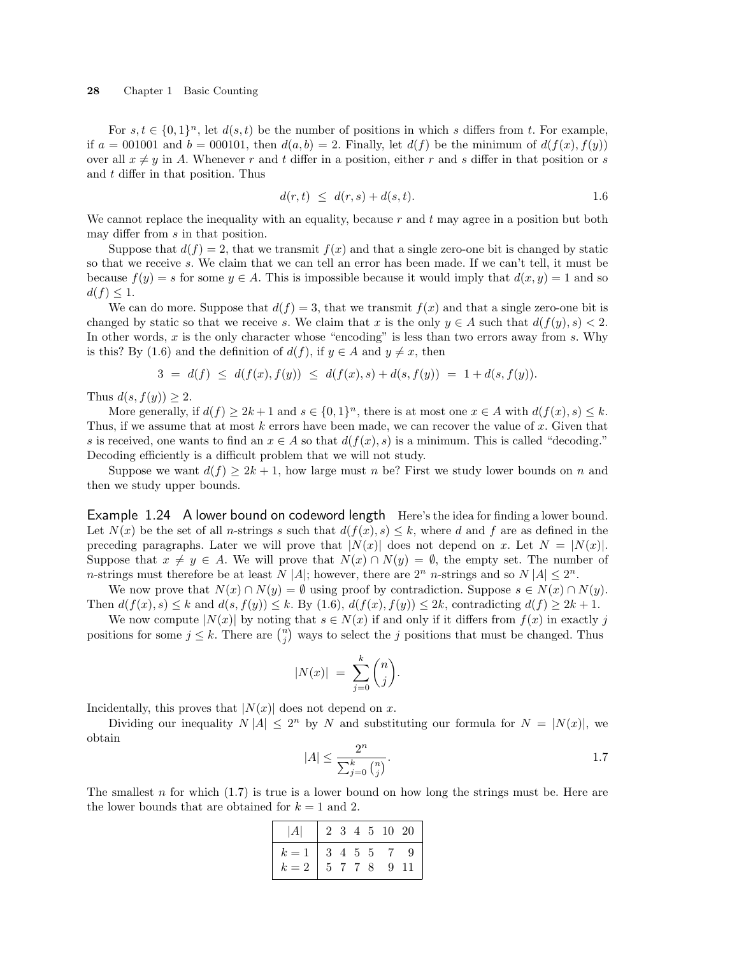For  $s, t \in \{0,1\}^n$ , let  $d(s,t)$  be the number of positions in which s differs from t. For example, if  $a = 001001$  and  $b = 000101$ , then  $d(a, b) = 2$ . Finally, let  $d(f)$  be the minimum of  $d(f(x), f(y))$ over all  $x \neq y$  in A. Whenever r and t differ in a position, either r and s differ in that position or s and t differ in that position. Thus

$$
d(r,t) \leq d(r,s) + d(s,t). \tag{1.6}
$$

We cannot replace the inequality with an equality, because  $r$  and  $t$  may agree in a position but both may differ from s in that position.

Suppose that  $d(f) = 2$ , that we transmit  $f(x)$  and that a single zero-one bit is changed by static so that we receive s. We claim that we can tell an error has been made. If we can't tell, it must be because  $f(y) = s$  for some  $y \in A$ . This is impossible because it would imply that  $d(x, y) = 1$  and so  $d(f) \leq 1.$ 

We can do more. Suppose that  $d(f) = 3$ , that we transmit  $f(x)$  and that a single zero-one bit is changed by static so that we receive s. We claim that x is the only  $y \in A$  such that  $d(f(y), s) < 2$ . In other words,  $x$  is the only character whose "encoding" is less than two errors away from  $s$ . Why is this? By (1.6) and the definition of  $d(f)$ , if  $y \in A$  and  $y \neq x$ , then

$$
3 = d(f) \leq d(f(x), f(y)) \leq d(f(x), s) + d(s, f(y)) = 1 + d(s, f(y)).
$$

Thus  $d(s, f(y)) \geq 2$ .

More generally, if  $d(f) \geq 2k+1$  and  $s \in \{0,1\}^n$ , there is at most one  $x \in A$  with  $d(f(x), s) \leq k$ . Thus, if we assume that at most k errors have been made, we can recover the value of x. Given that s is received, one wants to find an  $x \in A$  so that  $d(f(x), s)$  is a minimum. This is called "decoding." Decoding efficiently is a difficult problem that we will not study.

Suppose we want  $d(f) \geq 2k + 1$ , how large must n be? First we study lower bounds on n and then we study upper bounds.

Example 1.24 A lower bound on codeword length Here's the idea for finding a lower bound. Let  $N(x)$  be the set of all n-strings s such that  $d(f(x), s) \leq k$ , where d and f are as defined in the preceding paragraphs. Later we will prove that  $|N(x)|$  does not depend on x. Let  $N = |N(x)|$ . Suppose that  $x \neq y \in A$ . We will prove that  $N(x) \cap N(y) = \emptyset$ , the empty set. The number of n-strings must therefore be at least N |A|; however, there are  $2^n$  n-strings and so  $N |A| \leq 2^n$ .

We now prove that  $N(x) \cap N(y) = \emptyset$  using proof by contradiction. Suppose  $s \in N(x) \cap N(y)$ . Then  $d(f(x), s) \leq k$  and  $d(s, f(y)) \leq k$ . By  $(1.6), d(f(x), f(y)) \leq 2k$ , contradicting  $d(f) \geq 2k + 1$ .

We now compute  $|N(x)|$  by noting that  $s \in N(x)$  if and only if it differs from  $f(x)$  in exactly j positions for some  $j \leq k$ . There are  $\binom{n}{j}$  ways to select the j positions that must be changed. Thus

$$
|N(x)| = \sum_{j=0}^{k} {n \choose j}.
$$

Incidentally, this proves that  $|N(x)|$  does not depend on x.

Dividing our inequality  $N |A| \leq 2^n$  by N and substituting our formula for  $N = |N(x)|$ , we obtain

$$
|A| \le \frac{2^n}{\sum_{j=0}^k {n \choose j}}.
$$

The smallest n for which  $(1.7)$  is true is a lower bound on how long the strings must be. Here are the lower bounds that are obtained for  $k = 1$  and 2.

|                |               |  |    | 2 3 4 5 10 20 |  |
|----------------|---------------|--|----|---------------|--|
| $k=1$<br>$k=2$ | 3 4 5 5<br>57 |  | 78 | 9             |  |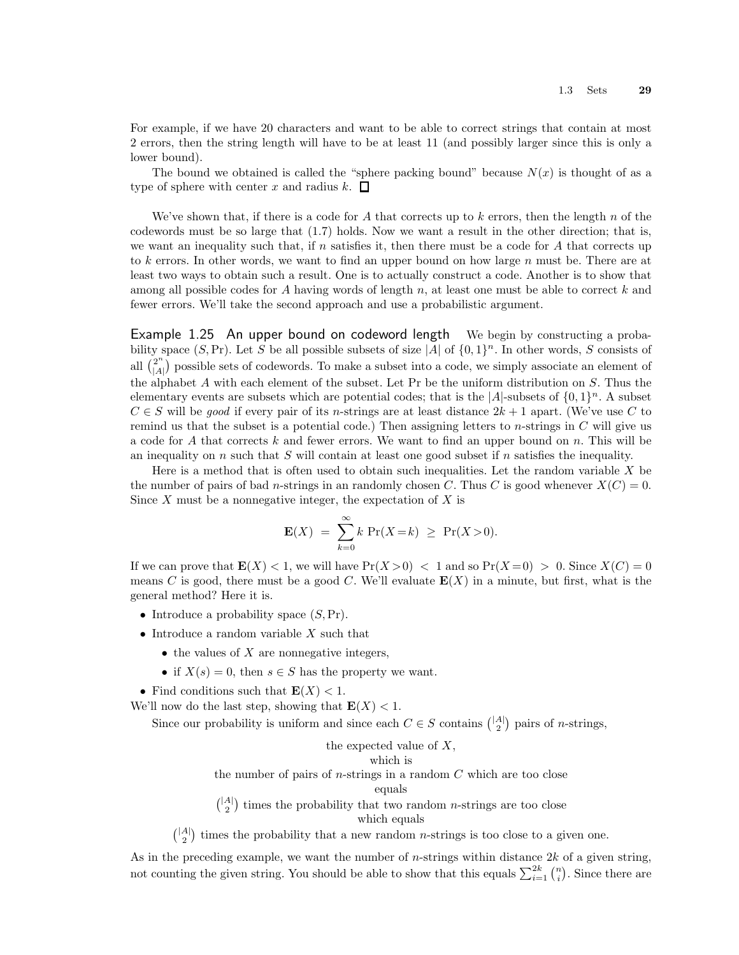For example, if we have 20 characters and want to be able to correct strings that contain at most 2 errors, then the string length will have to be at least 11 (and possibly larger since this is only a lower bound).

The bound we obtained is called the "sphere packing bound" because  $N(x)$  is thought of as a type of sphere with center x and radius  $k$ .  $\Box$ 

We've shown that, if there is a code for A that corrects up to k errors, then the length n of the codewords must be so large that (1.7) holds. Now we want a result in the other direction; that is, we want an inequality such that, if n satisfies it, then there must be a code for  $A$  that corrects up to k errors. In other words, we want to find an upper bound on how large n must be. There are at least two ways to obtain such a result. One is to actually construct a code. Another is to show that among all possible codes for A having words of length n, at least one must be able to correct  $k$  and fewer errors. We'll take the second approach and use a probabilistic argument.

Example 1.25 An upper bound on codeword length We begin by constructing a probability space  $(S, Pr)$ . Let S be all possible subsets of size |A| of  $\{0, 1\}^n$ . In other words, S consists of all  $\left(\begin{smallmatrix} 2^n \\ 1 & 4 \end{smallmatrix}\right)$  $\binom{2^n}{|A|}$  possible sets of codewords. To make a subset into a code, we simply associate an element of the alphabet A with each element of the subset. Let Pr be the uniform distribution on S. Thus the elementary events are subsets which are potential codes; that is the  $|A|$ -subsets of  $\{0,1\}^n$ . A subset  $C \in S$  will be good if every pair of its n-strings are at least distance  $2k + 1$  apart. (We've use C to remind us that the subset is a potential code.) Then assigning letters to *n*-strings in  $C$  will give us a code for A that corrects k and fewer errors. We want to find an upper bound on n. This will be an inequality on  $n$  such that  $S$  will contain at least one good subset if  $n$  satisfies the inequality.

Here is a method that is often used to obtain such inequalities. Let the random variable X be the number of pairs of bad *n*-strings in an randomly chosen C. Thus C is good whenever  $X(C) = 0$ . Since  $X$  must be a nonnegative integer, the expectation of  $X$  is

$$
\mathbf{E}(X) \ = \ \sum_{k=0}^{\infty} k \ \Pr(X = k) \ \ge \ \Pr(X > 0).
$$

If we can prove that  $\mathbf{E}(X) < 1$ , we will have  $Pr(X > 0) < 1$  and so  $Pr(X = 0) > 0$ . Since  $X(C) = 0$ means C is good, there must be a good C. We'll evaluate  $\mathbf{E}(X)$  in a minute, but first, what is the general method? Here it is.

- Introduce a probability space  $(S,Pr)$ .
- Introduce a random variable  $X$  such that
	- $\bullet$  the values of X are nonnegative integers,
	- if  $X(s) = 0$ , then  $s \in S$  has the property we want.
- Find conditions such that  $E(X) < 1$ .

We'll now do the last step, showing that  $\mathbf{E}(X) < 1$ .

Since our probability is uniform and since each  $C \in S$  contains  $\binom{|A|}{2}$  pairs of *n*-strings,

## the expected value of  $X$ ,

which is

the number of pairs of  $n$ -strings in a random  $C$  which are too close

equals

 $\binom{|A|}{2}$  times the probability that two random *n*-strings are too close

which equals

 $\binom{|A|}{2}$  times the probability that a new random *n*-strings is too close to a given one.

As in the preceding example, we want the number of *n*-strings within distance  $2k$  of a given string, not counting the given string. You should be able to show that this equals  $\sum_{i=1}^{2k} \binom{n}{i}$ . Since there are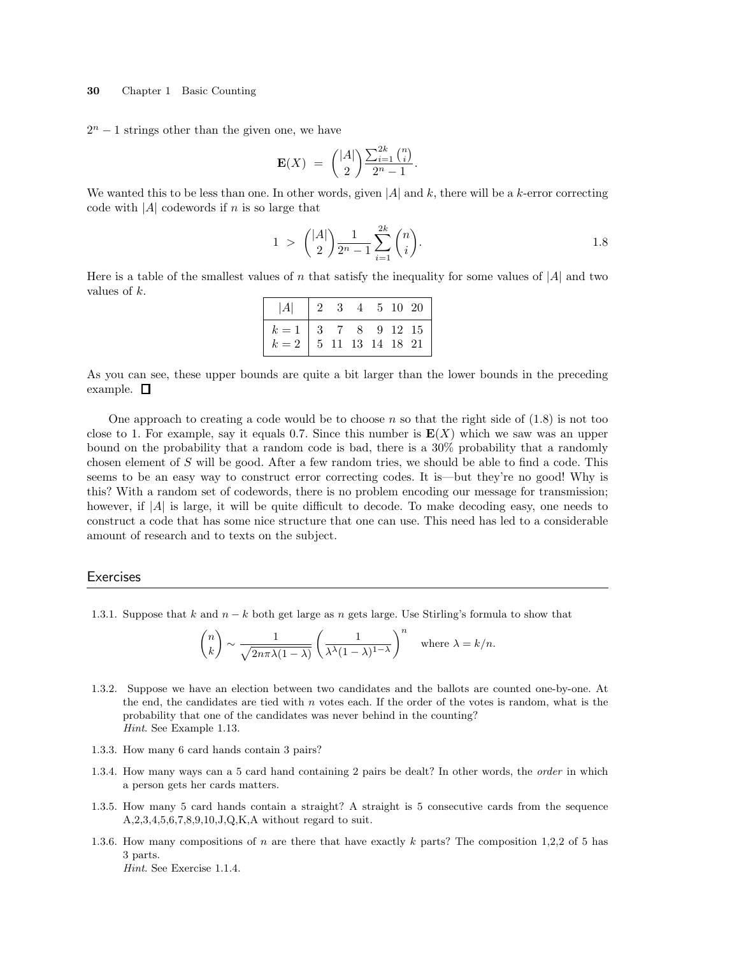#### 30 Chapter 1 Basic Counting

 $2^n - 1$  strings other than the given one, we have

$$
\mathbf{E}(X) = \binom{|A|}{2} \frac{\sum_{i=1}^{2k} \binom{n}{i}}{2^n - 1}.
$$

We wanted this to be less than one. In other words, given  $|A|$  and k, there will be a k-error correcting code with  $|A|$  codewords if n is so large that

$$
1 > \binom{|A|}{2} \frac{1}{2^n - 1} \sum_{i=1}^{2k} \binom{n}{i}.
$$
 1.8

Here is a table of the smallest values of n that satisfy the inequality for some values of  $|A|$  and two values of k.

| $ A $   2 3 4 5 10 20                                                                                   |  |  |  |
|---------------------------------------------------------------------------------------------------------|--|--|--|
| $\begin{array}{c cccccc} k=1 & 3 & 7 & 8 & 9 & 12 & 15 \\ k=2 & 5 & 11 & 13 & 14 & 18 & 21 \end{array}$ |  |  |  |

As you can see, these upper bounds are quite a bit larger than the lower bounds in the preceding example.  $\Box$ 

One approach to creating a code would be to choose n so that the right side of  $(1.8)$  is not too close to 1. For example, say it equals 0.7. Since this number is  $E(X)$  which we saw was an upper bound on the probability that a random code is bad, there is a 30% probability that a randomly chosen element of  $S$  will be good. After a few random tries, we should be able to find a code. This seems to be an easy way to construct error correcting codes. It is—but they're no good! Why is this? With a random set of codewords, there is no problem encoding our message for transmission; however, if  $|A|$  is large, it will be quite difficult to decode. To make decoding easy, one needs to construct a code that has some nice structure that one can use. This need has led to a considerable amount of research and to texts on the subject.

#### **Exercises**

1.3.1. Suppose that k and  $n - k$  both get large as n gets large. Use Stirling's formula to show that

$$
\binom{n}{k} \sim \frac{1}{\sqrt{2n\pi\lambda(1-\lambda)}} \left(\frac{1}{\lambda^{\lambda}(1-\lambda)^{1-\lambda}}\right)^n \quad \text{where } \lambda = k/n.
$$

- 1.3.2. Suppose we have an election between two candidates and the ballots are counted one-by-one. At the end, the candidates are tied with  $n$  votes each. If the order of the votes is random, what is the probability that one of the candidates was never behind in the counting? Hint. See Example 1.13.
- 1.3.3. How many 6 card hands contain 3 pairs?
- 1.3.4. How many ways can a 5 card hand containing 2 pairs be dealt? In other words, the order in which a person gets her cards matters.
- 1.3.5. How many 5 card hands contain a straight? A straight is 5 consecutive cards from the sequence A,2,3,4,5,6,7,8,9,10,J,Q,K,A without regard to suit.
- 1.3.6. How many compositions of n are there that have exactly k parts? The composition 1,2,2 of 5 has 3 parts. Hint. See Exercise 1.1.4.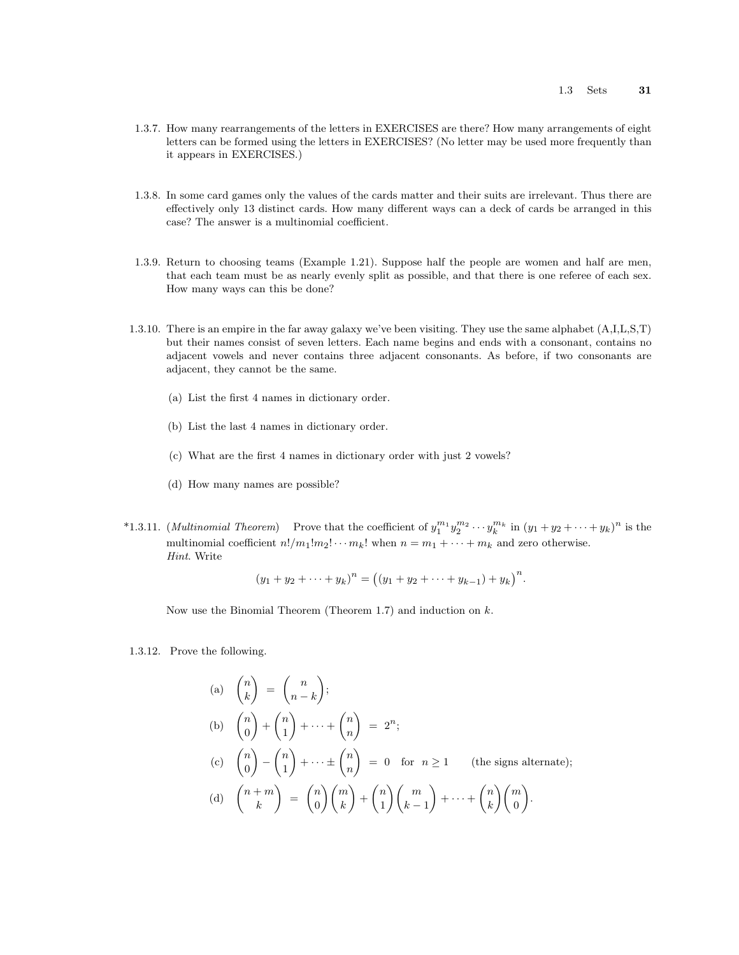- 1.3.7. How many rearrangements of the letters in EXERCISES are there? How many arrangements of eight letters can be formed using the letters in EXERCISES? (No letter may be used more frequently than it appears in EXERCISES.)
- 1.3.8. In some card games only the values of the cards matter and their suits are irrelevant. Thus there are effectively only 13 distinct cards. How many different ways can a deck of cards be arranged in this case? The answer is a multinomial coefficient.
- 1.3.9. Return to choosing teams (Example 1.21). Suppose half the people are women and half are men, that each team must be as nearly evenly split as possible, and that there is one referee of each sex. How many ways can this be done?
- 1.3.10. There is an empire in the far away galaxy we've been visiting. They use the same alphabet (A,I,L,S,T) but their names consist of seven letters. Each name begins and ends with a consonant, contains no adjacent vowels and never contains three adjacent consonants. As before, if two consonants are adjacent, they cannot be the same.
	- (a) List the first 4 names in dictionary order.
	- (b) List the last 4 names in dictionary order.
	- (c) What are the first 4 names in dictionary order with just 2 vowels?
	- (d) How many names are possible?
- \*1.3.11. (*Multinomial Theorem*) Prove that the coefficient of  $y_1^{m_1} y_2^{m_2} \cdots y_k^{m_k}$  in  $(y_1 + y_2 + \cdots + y_k)^n$  is the multinomial coefficient  $n!/m_1!m_2! \cdots m_k!$  when  $n = m_1 + \cdots + m_k$  and zero otherwise. Hint. Write

$$
(y_1 + y_2 + \dots + y_k)^n = ((y_1 + y_2 + \dots + y_{k-1}) + y_k)^n.
$$

Now use the Binomial Theorem (Theorem 1.7) and induction on  $k$ .

1.3.12. Prove the following.

(a) 
$$
\binom{n}{k} = \binom{n}{n-k}
$$
;  
\n(b)  $\binom{n}{0} + \binom{n}{1} + \cdots + \binom{n}{n} = 2^n$ ;  
\n(c)  $\binom{n}{0} - \binom{n}{1} + \cdots \pm \binom{n}{n} = 0$  for  $n \ge 1$  (the signs alternate);  
\n(d)  $\binom{n+m}{k} = \binom{n}{0} \binom{m}{k} + \binom{n}{1} \binom{m}{k-1} + \cdots + \binom{n}{k} \binom{m}{0}$ .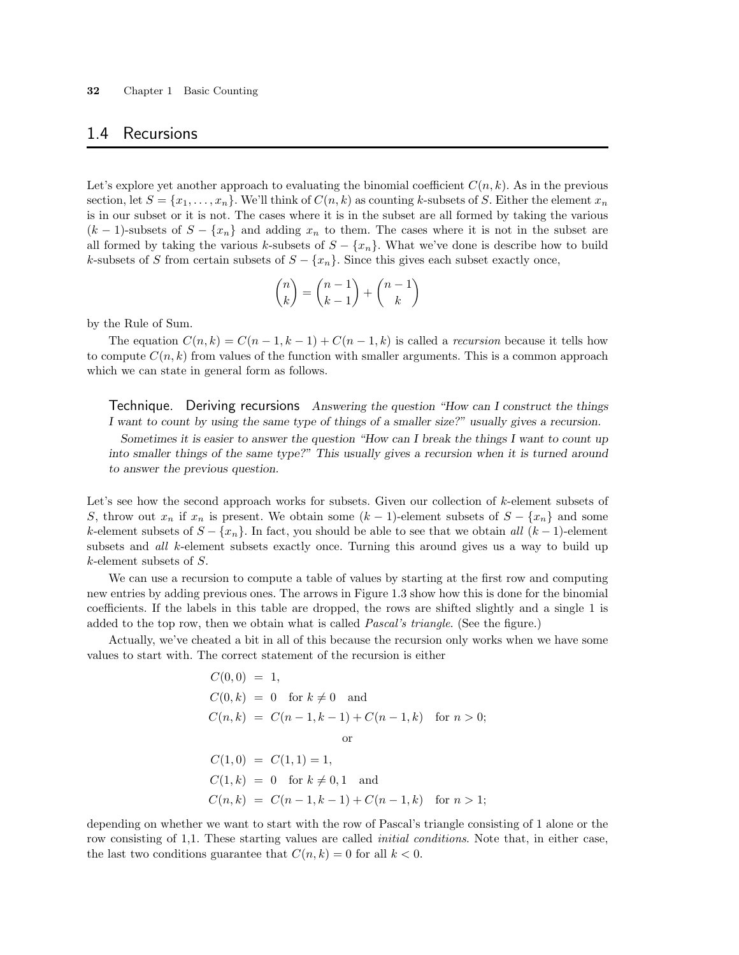## 1.4 Recursions

Let's explore yet another approach to evaluating the binomial coefficient  $C(n, k)$ . As in the previous section, let  $S = \{x_1, \ldots, x_n\}$ . We'll think of  $C(n, k)$  as counting k-subsets of S. Either the element  $x_n$ is in our subset or it is not. The cases where it is in the subset are all formed by taking the various  $(k-1)$ -subsets of  $S - \{x_n\}$  and adding  $x_n$  to them. The cases where it is not in the subset are all formed by taking the various k-subsets of  $S - \{x_n\}$ . What we've done is describe how to build k-subsets of S from certain subsets of  $S - \{x_n\}$ . Since this gives each subset exactly once,

$$
\binom{n}{k} = \binom{n-1}{k-1} + \binom{n-1}{k}
$$

by the Rule of Sum.

The equation  $C(n, k) = C(n-1, k-1) + C(n-1, k)$  is called a *recursion* because it tells how to compute  $C(n, k)$  from values of the function with smaller arguments. This is a common approach which we can state in general form as follows.

Technique. Deriving recursions Answering the question "How can I construct the things I want to count by using the same type of things of a smaller size?" usually gives a recursion.

Sometimes it is easier to answer the question "How can I break the things I want to count up into smaller things of the same type?" This usually gives a recursion when it is turned around to answer the previous question.

Let's see how the second approach works for subsets. Given our collection of k-element subsets of S, throw out  $x_n$  if  $x_n$  is present. We obtain some  $(k-1)$ -element subsets of  $S - \{x_n\}$  and some k-element subsets of  $S - \{x_n\}$ . In fact, you should be able to see that we obtain all  $(k-1)$ -element subsets and *all k*-element subsets exactly once. Turning this around gives us a way to build up k-element subsets of S.

We can use a recursion to compute a table of values by starting at the first row and computing new entries by adding previous ones. The arrows in Figure 1.3 show how this is done for the binomial coefficients. If the labels in this table are dropped, the rows are shifted slightly and a single 1 is added to the top row, then we obtain what is called *Pascal's triangle*. (See the figure.)

Actually, we've cheated a bit in all of this because the recursion only works when we have some values to start with. The correct statement of the recursion is either

$$
C(0,0) = 1,
$$
  
\n
$$
C(0,k) = 0 \text{ for } k \neq 0 \text{ and}
$$
  
\n
$$
C(n,k) = C(n-1,k-1) + C(n-1,k) \text{ for } n > 0;
$$
  
\nor  
\n
$$
C(1,0) = C(1,1) = 1,
$$
  
\n
$$
C(1,k) = 0 \text{ for } k \neq 0,1 \text{ and}
$$
  
\n
$$
C(n,k) = C(n-1,k-1) + C(n-1,k) \text{ for } n > 1;
$$

depending on whether we want to start with the row of Pascal's triangle consisting of 1 alone or the row consisting of 1,1. These starting values are called *initial conditions*. Note that, in either case, the last two conditions guarantee that  $C(n, k) = 0$  for all  $k < 0$ .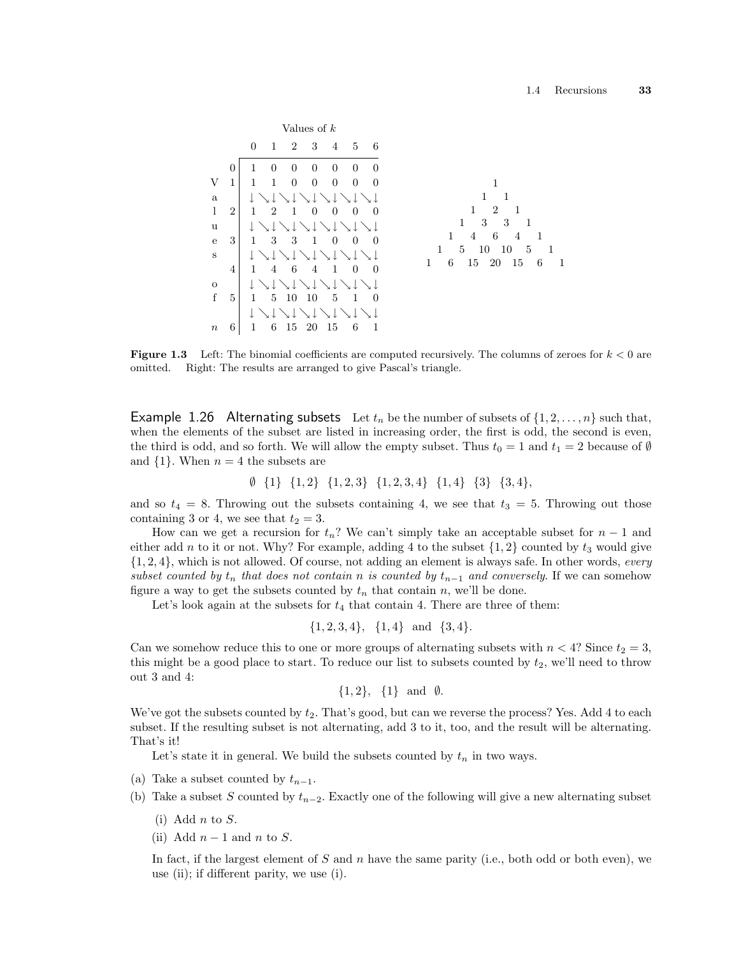

**Figure 1.3** Left: The binomial coefficients are computed recursively. The columns of zeroes for  $k < 0$  are omitted. Right: The results are arranged to give Pascal's triangle.

Example 1.26 Alternating subsets Let  $t_n$  be the number of subsets of  $\{1, 2, \ldots, n\}$  such that, when the elements of the subset are listed in increasing order, the first is odd, the second is even, the third is odd, and so forth. We will allow the empty subset. Thus  $t_0 = 1$  and  $t_1 = 2$  because of Ø and  $\{1\}$ . When  $n = 4$  the subsets are

$$
\emptyset \{1\} \{1,2\} \{1,2,3\} \{1,2,3,4\} \{1,4\} \{3\} \{3,4\},\
$$

and so  $t_4 = 8$ . Throwing out the subsets containing 4, we see that  $t_3 = 5$ . Throwing out those containing 3 or 4, we see that  $t_2 = 3$ .

How can we get a recursion for  $t_n$ ? We can't simply take an acceptable subset for  $n-1$  and either add n to it or not. Why? For example, adding 4 to the subset  $\{1, 2\}$  counted by  $t_3$  would give  $\{1, 2, 4\}$ , which is not allowed. Of course, not adding an element is always safe. In other words, every subset counted by  $t_n$  that does not contain n is counted by  $t_{n-1}$  and conversely. If we can somehow figure a way to get the subsets counted by  $t_n$  that contain n, we'll be done.

Let's look again at the subsets for  $t_4$  that contain 4. There are three of them:

$$
\{1, 2, 3, 4\}, \{1, 4\} \text{ and } \{3, 4\}.
$$

Can we somehow reduce this to one or more groups of alternating subsets with  $n < 4$ ? Since  $t_2 = 3$ , this might be a good place to start. To reduce our list to subsets counted by  $t_2$ , we'll need to throw out 3 and 4:

$$
\{1,2\}, \{1\} \text{ and } \emptyset.
$$

We've got the subsets counted by  $t_2$ . That's good, but can we reverse the process? Yes. Add 4 to each subset. If the resulting subset is not alternating, add 3 to it, too, and the result will be alternating. That's it!

Let's state it in general. We build the subsets counted by  $t_n$  in two ways.

- (a) Take a subset counted by  $t_{n-1}$ .
- (b) Take a subset S counted by  $t_{n-2}$ . Exactly one of the following will give a new alternating subset
	- (i) Add  $n$  to  $S$ .
	- (ii) Add  $n-1$  and n to S.

In fact, if the largest element of S and n have the same parity (i.e., both odd or both even), we use (ii); if different parity, we use (i).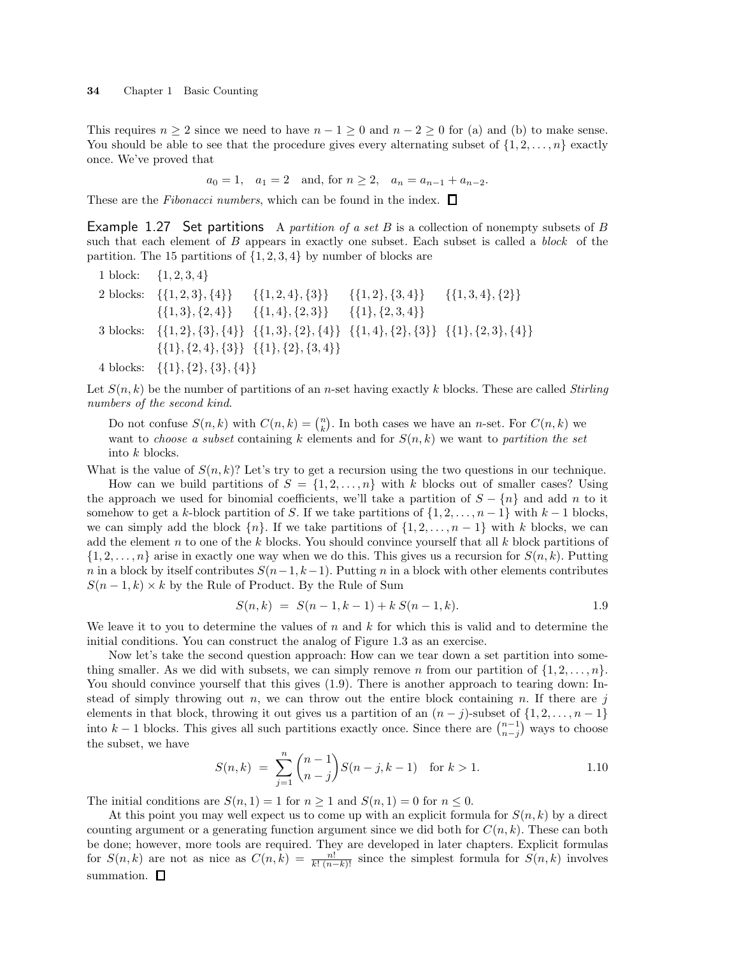This requires  $n \geq 2$  since we need to have  $n - 1 \geq 0$  and  $n - 2 \geq 0$  for (a) and (b) to make sense. You should be able to see that the procedure gives every alternating subset of  $\{1, 2, \ldots, n\}$  exactly once. We've proved that

$$
a_0 = 1
$$
,  $a_1 = 2$  and, for  $n \ge 2$ ,  $a_n = a_{n-1} + a_{n-2}$ .

These are the *Fibonacci numbers*, which can be found in the index.  $\Box$ 

Example 1.27 Set partitions A partition of a set B is a collection of nonempty subsets of B such that each element of B appears in exactly one subset. Each subset is called a block of the partition. The 15 partitions of  $\{1, 2, 3, 4\}$  by number of blocks are

1 block: {1, 2, 3, 4} 2 blocks:  $\{\{1, 2, 3\}, \{4\}\}$   $\{\{1, 2, 4\}, \{3\}\}$   $\{\{1, 2\}, \{3, 4\}\}$   $\{\{1, 3, 4\}, \{2\}\}$  $\{\{1,3\},\{2,4\}\}$   $\{\{1,4\},\{2,3\}\}$   $\{\{1\},\{2,3,4\}\}$ 3 blocks: {{1, 2}, {3}, {4}} {{1, 3}, {2}, {4}} {{1, 4}, {2}, {3}} {{1}, {2, 3}, {4}}  $\{\{1\}, \{2, 4\}, \{3\}\}$   $\{\{1\}, \{2\}, \{3, 4\}\}\$ 4 blocks: {{1}, {2}, {3}, {4}}

Let  $S(n, k)$  be the number of partitions of an *n*-set having exactly k blocks. These are called *Stirling* numbers of the second kind.

Do not confuse  $S(n,k)$  with  $C(n,k) = \binom{n}{k}$ . In both cases we have an *n*-set. For  $C(n,k)$  we want to choose a subset containing k elements and for  $S(n, k)$  we want to partition the set into k blocks.

What is the value of  $S(n, k)$ ? Let's try to get a recursion using the two questions in our technique.

How can we build partitions of  $S = \{1, 2, ..., n\}$  with k blocks out of smaller cases? Using the approach we used for binomial coefficients, we'll take a partition of  $S - \{n\}$  and add n to it somehow to get a k-block partition of S. If we take partitions of  $\{1, 2, \ldots, n-1\}$  with  $k-1$  blocks, we can simply add the block  $\{n\}$ . If we take partitions of  $\{1, 2, \ldots, n-1\}$  with k blocks, we can add the element  $n$  to one of the  $k$  blocks. You should convince yourself that all  $k$  block partitions of  $\{1, 2, \ldots, n\}$  arise in exactly one way when we do this. This gives us a recursion for  $S(n, k)$ . Putting n in a block by itself contributes  $S(n-1, k-1)$ . Putting n in a block with other elements contributes  $S(n-1,k) \times k$  by the Rule of Product. By the Rule of Sum

$$
S(n,k) = S(n-1,k-1) + k S(n-1,k). \tag{1.9}
$$

We leave it to you to determine the values of n and k for which this is valid and to determine the initial conditions. You can construct the analog of Figure 1.3 as an exercise.

Now let's take the second question approach: How can we tear down a set partition into something smaller. As we did with subsets, we can simply remove n from our partition of  $\{1, 2, \ldots, n\}$ . You should convince yourself that this gives  $(1.9)$ . There is another approach to tearing down: Instead of simply throwing out n, we can throw out the entire block containing n. If there are  $j$ elements in that block, throwing it out gives us a partition of an  $(n - j)$ -subset of  $\{1, 2, \ldots, n - 1\}$ into k – 1 blocks. This gives all such partitions exactly once. Since there are  $\binom{n-1}{n-j}$  ways to choose the subset, we have

$$
S(n,k) = \sum_{j=1}^{n} {n-1 \choose n-j} S(n-j,k-1) \text{ for } k > 1.
$$

The initial conditions are  $S(n, 1) = 1$  for  $n \ge 1$  and  $S(n, 1) = 0$  for  $n \le 0$ .

At this point you may well expect us to come up with an explicit formula for  $S(n, k)$  by a direct counting argument or a generating function argument since we did both for  $C(n, k)$ . These can both be done; however, more tools are required. They are developed in later chapters. Explicit formulas for  $S(n,k)$  are not as nice as  $C(n,k) = \frac{n!}{k! (n-k)!}$  since the simplest formula for  $S(n,k)$  involves summation.  $\Box$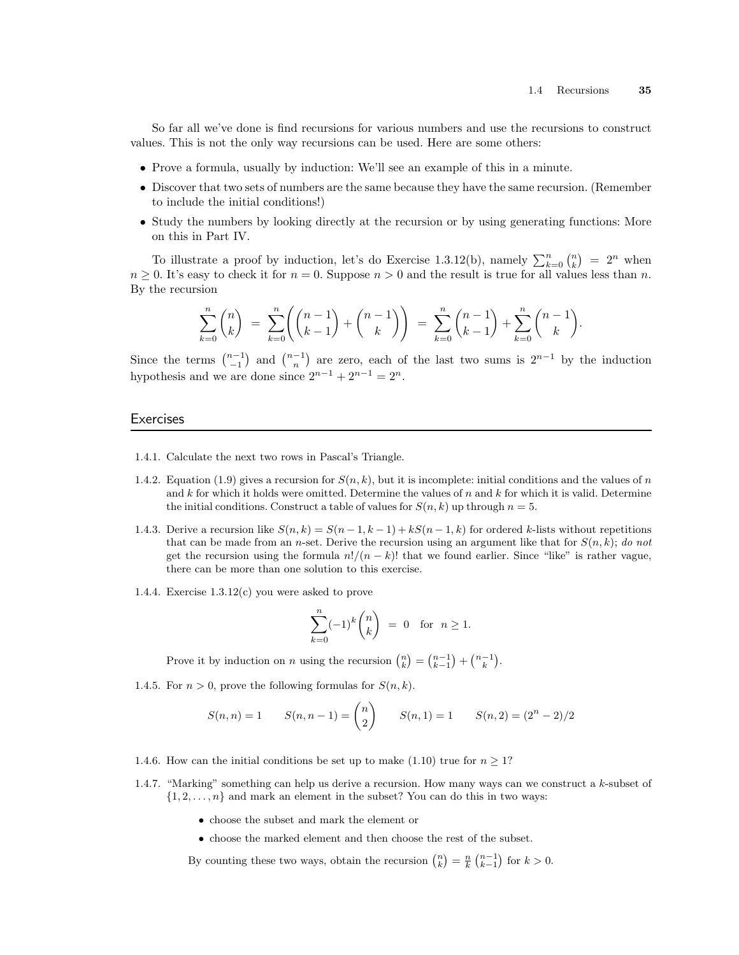So far all we've done is find recursions for various numbers and use the recursions to construct values. This is not the only way recursions can be used. Here are some others:

- Prove a formula, usually by induction: We'll see an example of this in a minute.
- Discover that two sets of numbers are the same because they have the same recursion. (Remember to include the initial conditions!)
- Study the numbers by looking directly at the recursion or by using generating functions: More on this in Part IV.

To illustrate a proof by induction, let's do Exercise 1.3.12(b), namely  $\sum_{k=0}^{n} {n \choose k} = 2^n$  when  $n \geq 0$ . It's easy to check it for  $n = 0$ . Suppose  $n > 0$  and the result is true for all values less than n. By the recursion

$$
\sum_{k=0}^{n} \binom{n}{k} = \sum_{k=0}^{n} \left( \binom{n-1}{k-1} + \binom{n-1}{k} \right) = \sum_{k=0}^{n} \binom{n-1}{k-1} + \sum_{k=0}^{n} \binom{n-1}{k}.
$$

Since the terms  $\binom{n-1}{-1}$  and  $\binom{n-1}{n}$  are zero, each of the last two sums is  $2^{n-1}$  by the induction hypothesis and we are done since  $2^{n-1} + 2^{n-1} = 2^n$ .

## **Exercises**

- 1.4.1. Calculate the next two rows in Pascal's Triangle.
- 1.4.2. Equation (1.9) gives a recursion for  $S(n, k)$ , but it is incomplete: initial conditions and the values of n and k for which it holds were omitted. Determine the values of n and k for which it is valid. Determine the initial conditions. Construct a table of values for  $S(n, k)$  up through  $n = 5$ .
- 1.4.3. Derive a recursion like  $S(n, k) = S(n-1, k-1) + kS(n-1, k)$  for ordered k-lists without repetitions that can be made from an n-set. Derive the recursion using an argument like that for  $S(n, k)$ ; do not get the recursion using the formula  $n!/(n-k)!$  that we found earlier. Since "like" is rather vague, there can be more than one solution to this exercise.
- 1.4.4. Exercise 1.3.12(c) you were asked to prove

$$
\sum_{k=0}^n (-1)^k \binom{n}{k} \ = \ 0 \quad \text{for} \ \ n \geq 1.
$$

Prove it by induction on *n* using the recursion  $\binom{n}{k} = \binom{n-1}{k-1} + \binom{n-1}{k}$ .

1.4.5. For  $n > 0$ , prove the following formulas for  $S(n, k)$ .

$$
S(n,n) = 1 \qquad S(n,n-1) = \binom{n}{2} \qquad S(n,1) = 1 \qquad S(n,2) = \frac{(2^n - 2)}{2}
$$

- 1.4.6. How can the initial conditions be set up to make (1.10) true for  $n \geq 1$ ?
- 1.4.7. "Marking" something can help us derive a recursion. How many ways can we construct a k-subset of  $\{1, 2, \ldots, n\}$  and mark an element in the subset? You can do this in two ways:
	- choose the subset and mark the element or
	- choose the marked element and then choose the rest of the subset.

By counting these two ways, obtain the recursion  $\binom{n}{k} = \frac{n}{k} \binom{n-1}{k-1}$  for  $k > 0$ .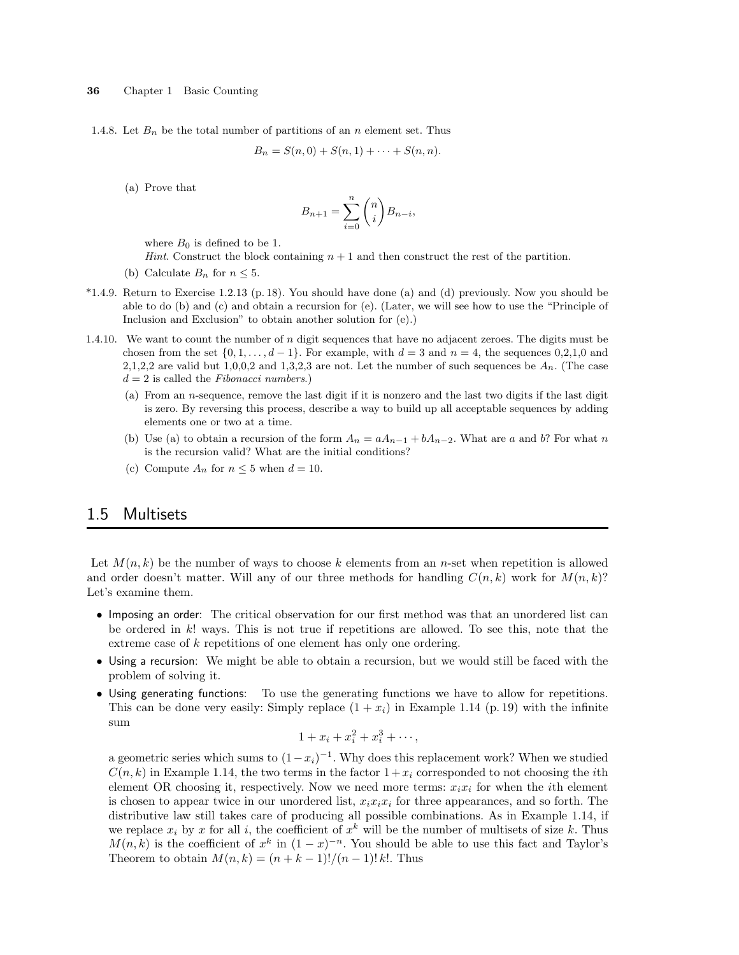1.4.8. Let  $B_n$  be the total number of partitions of an n element set. Thus

$$
B_n = S(n,0) + S(n,1) + \cdots + S(n,n).
$$

(a) Prove that

$$
B_{n+1} = \sum_{i=0}^{n} \binom{n}{i} B_{n-i},
$$

where  $B_0$  is defined to be 1.

- *Hint*. Construct the block containing  $n + 1$  and then construct the rest of the partition.
- (b) Calculate  $B_n$  for  $n \leq 5$ .
- \*1.4.9. Return to Exercise 1.2.13 (p. 18). You should have done (a) and (d) previously. Now you should be able to do (b) and (c) and obtain a recursion for (e). (Later, we will see how to use the "Principle of Inclusion and Exclusion" to obtain another solution for (e).)
- 1.4.10. We want to count the number of  $n$  digit sequences that have no adjacent zeroes. The digits must be chosen from the set  $\{0, 1, \ldots, d-1\}$ . For example, with  $d=3$  and  $n=4$ , the sequences 0,2,1,0 and 2,1,2,2 are valid but 1,0,0,2 and 1,3,2,3 are not. Let the number of such sequences be  $A_n$ . (The case  $d = 2$  is called the *Fibonacci numbers*.)
	- (a) From an n-sequence, remove the last digit if it is nonzero and the last two digits if the last digit is zero. By reversing this process, describe a way to build up all acceptable sequences by adding elements one or two at a time.
	- (b) Use (a) to obtain a recursion of the form  $A_n = aA_{n-1} + bA_{n-2}$ . What are a and b? For what n is the recursion valid? What are the initial conditions?
	- (c) Compute  $A_n$  for  $n \leq 5$  when  $d = 10$ .

## 1.5 Multisets

Let  $M(n, k)$  be the number of ways to choose k elements from an n-set when repetition is allowed and order doesn't matter. Will any of our three methods for handling  $C(n, k)$  work for  $M(n, k)$ ? Let's examine them.

- Imposing an order: The critical observation for our first method was that an unordered list can be ordered in  $k!$  ways. This is not true if repetitions are allowed. To see this, note that the extreme case of k repetitions of one element has only one ordering.
- Using a recursion: We might be able to obtain a recursion, but we would still be faced with the problem of solving it.
- Using generating functions: To use the generating functions we have to allow for repetitions. This can be done very easily: Simply replace  $(1 + x_i)$  in Example 1.14 (p. 19) with the infinite sum

$$
1 + x_i + x_i^2 + x_i^3 + \cdots,
$$

a geometric series which sums to  $(1-x_i)^{-1}$ . Why does this replacement work? When we studied  $C(n, k)$  in Example 1.14, the two terms in the factor  $1 + x_i$  corresponded to not choosing the *i*th element OR choosing it, respectively. Now we need more terms:  $x_ix_i$  for when the *i*th element is chosen to appear twice in our unordered list,  $x_i x_i x_i$  for three appearances, and so forth. The distributive law still takes care of producing all possible combinations. As in Example 1.14, if we replace  $x_i$  by x for all i, the coefficient of  $x^k$  will be the number of multisets of size k. Thus  $M(n,k)$  is the coefficient of  $x^k$  in  $(1-x)^{-n}$ . You should be able to use this fact and Taylor's Theorem to obtain  $M(n, k) = (n + k - 1)!/(n - 1)! k!$ . Thus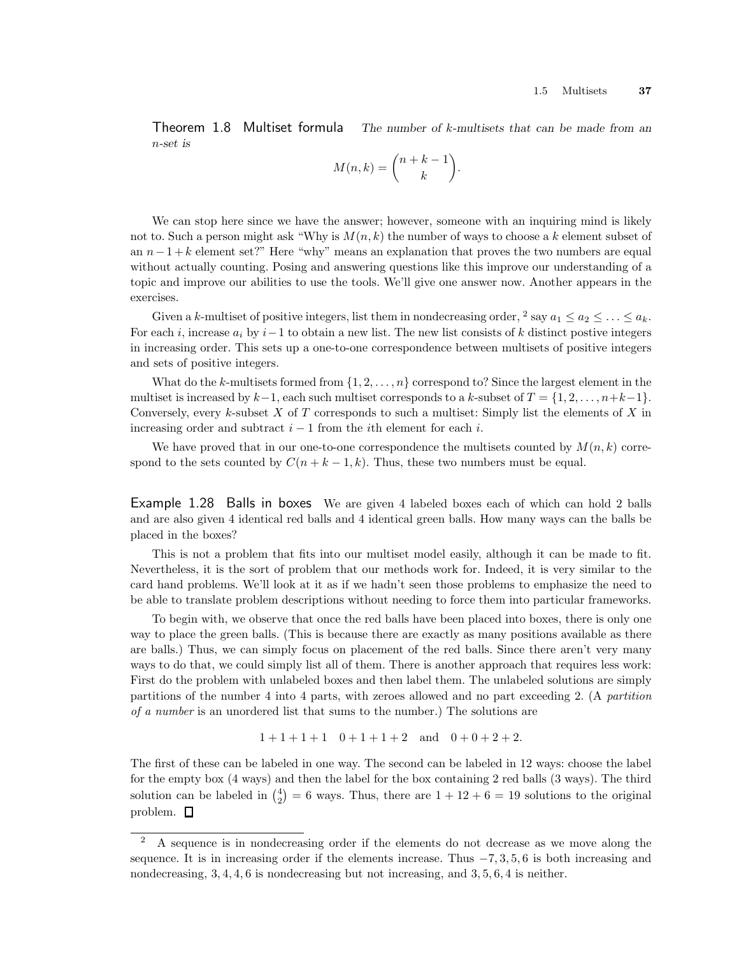Theorem 1.8 Multiset formula The number of  $k$ -multisets that can be made from an n-set is

$$
M(n,k) = \binom{n+k-1}{k}.
$$

We can stop here since we have the answer; however, someone with an inquiring mind is likely not to. Such a person might ask "Why is  $M(n, k)$  the number of ways to choose a k element subset of an  $n-1+k$  element set?" Here "why" means an explanation that proves the two numbers are equal without actually counting. Posing and answering questions like this improve our understanding of a topic and improve our abilities to use the tools. We'll give one answer now. Another appears in the exercises.

Given a k-multiset of positive integers, list them in nondecreasing order, <sup>2</sup> say  $a_1 \le a_2 \le \ldots \le a_k$ . For each i, increase  $a_i$  by  $i-1$  to obtain a new list. The new list consists of k distinct postive integers in increasing order. This sets up a one-to-one correspondence between multisets of positive integers and sets of positive integers.

What do the k-multisets formed from  $\{1, 2, \ldots, n\}$  correspond to? Since the largest element in the multiset is increased by k−1, each such multiset corresponds to a k-subset of  $T = \{1, 2, \ldots, n+k-1\}$ . Conversely, every k-subset  $X$  of  $T$  corresponds to such a multiset: Simply list the elements of  $X$  in increasing order and subtract  $i - 1$  from the *i*th element for each *i*.

We have proved that in our one-to-one correspondence the multisets counted by  $M(n,k)$  correspond to the sets counted by  $C(n + k - 1, k)$ . Thus, these two numbers must be equal.

Example 1.28 Balls in boxes We are given 4 labeled boxes each of which can hold 2 balls and are also given 4 identical red balls and 4 identical green balls. How many ways can the balls be placed in the boxes?

This is not a problem that fits into our multiset model easily, although it can be made to fit. Nevertheless, it is the sort of problem that our methods work for. Indeed, it is very similar to the card hand problems. We'll look at it as if we hadn't seen those problems to emphasize the need to be able to translate problem descriptions without needing to force them into particular frameworks.

To begin with, we observe that once the red balls have been placed into boxes, there is only one way to place the green balls. (This is because there are exactly as many positions available as there are balls.) Thus, we can simply focus on placement of the red balls. Since there aren't very many ways to do that, we could simply list all of them. There is another approach that requires less work: First do the problem with unlabeled boxes and then label them. The unlabeled solutions are simply partitions of the number 4 into 4 parts, with zeroes allowed and no part exceeding 2. (A partition of a number is an unordered list that sums to the number.) The solutions are

$$
1+1+1+1
$$
 0+1+1+2 and 0+0+2+2.

The first of these can be labeled in one way. The second can be labeled in 12 ways: choose the label for the empty box (4 ways) and then the label for the box containing 2 red balls (3 ways). The third solution can be labeled in  $\binom{4}{2} = 6$  ways. Thus, there are  $1 + 12 + 6 = 19$  solutions to the original problem.  $\Box$ 

<sup>&</sup>lt;sup>2</sup> A sequence is in nondecreasing order if the elements do not decrease as we move along the sequence. It is in increasing order if the elements increase. Thus  $-7, 3, 5, 6$  is both increasing and nondecreasing, 3, 4, 4, 6 is nondecreasing but not increasing, and 3, 5, 6, 4 is neither.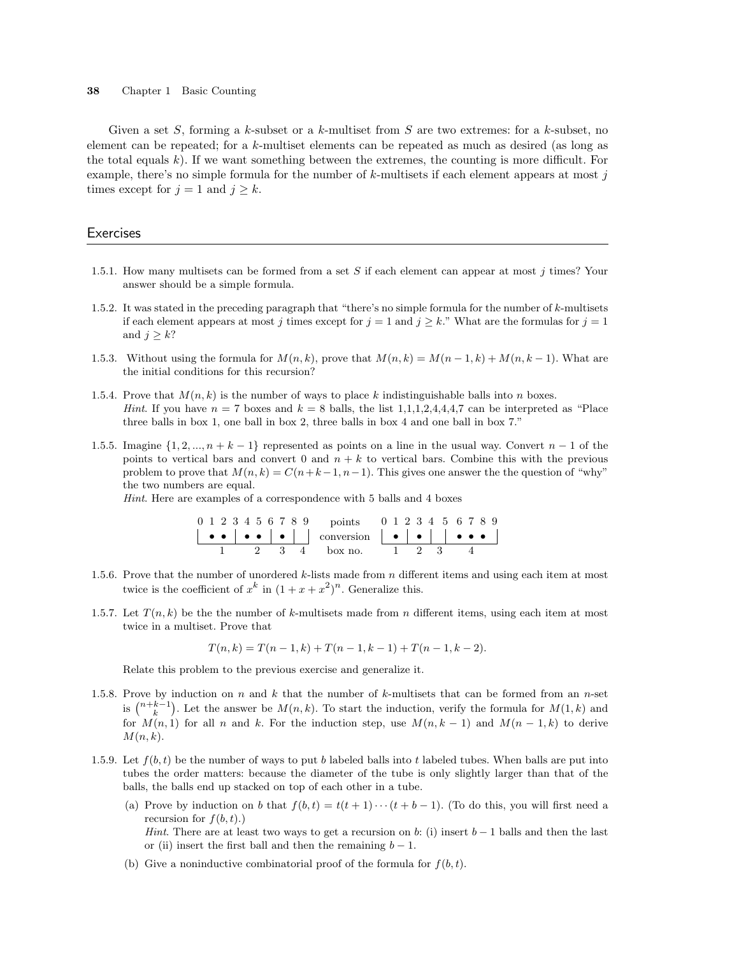Given a set S, forming a k-subset or a k-multiset from S are two extremes: for a k-subset, no element can be repeated; for a k-multiset elements can be repeated as much as desired (as long as the total equals  $k$ ). If we want something between the extremes, the counting is more difficult. For example, there's no simple formula for the number of k-multisets if each element appears at most  $j$ times except for  $j = 1$  and  $j \geq k$ .

## **Exercises**

- 1.5.1. How many multisets can be formed from a set  $S$  if each element can appear at most  $j$  times? Your answer should be a simple formula.
- 1.5.2. It was stated in the preceding paragraph that "there's no simple formula for the number of k-multisets if each element appears at most j times except for  $j = 1$  and  $j \geq k$ ." What are the formulas for  $j = 1$ and  $j \geq k$ ?
- 1.5.3. Without using the formula for  $M(n, k)$ , prove that  $M(n, k) = M(n 1, k) + M(n, k 1)$ . What are the initial conditions for this recursion?
- 1.5.4. Prove that  $M(n, k)$  is the number of ways to place k indistinguishable balls into n boxes. Hint. If you have  $n = 7$  boxes and  $k = 8$  balls, the list 1,1,1,2,4,4,4,7 can be interpreted as "Place" three balls in box 1, one ball in box 2, three balls in box 4 and one ball in box 7."
- 1.5.5. Imagine  $\{1, 2, ..., n + k 1\}$  represented as points on a line in the usual way. Convert  $n 1$  of the points to vertical bars and convert 0 and  $n + k$  to vertical bars. Combine this with the previous problem to prove that  $M(n, k) = C(n+k-1, n-1)$ . This gives one answer the the question of "why" the two numbers are equal.

Hint. Here are examples of a correspondence with 5 balls and 4 boxes

|  |  |  |  |  | 0 1 2 3 4 5 6 7 8 9 points 0 1 2 3 4 5 6 7 8 9                                                                                                                                          |  |  |  |  |  |
|--|--|--|--|--|-----------------------------------------------------------------------------------------------------------------------------------------------------------------------------------------|--|--|--|--|--|
|  |  |  |  |  | $\vert \bullet \bullet \vert \bullet \bullet \vert \bullet \vert \vert \quad \text{conversion} \quad \vert \bullet \vert \bullet \vert \quad \vert \bullet \bullet \bullet \vert \vert$ |  |  |  |  |  |
|  |  |  |  |  | $1 \t 2 \t 3 \t 4 \t box no.$ $1 \t 2 \t 3$                                                                                                                                             |  |  |  |  |  |

- 1.5.6. Prove that the number of unordered  $k$ -lists made from n different items and using each item at most twice is the coefficient of  $x^k$  in  $(1 + x + x^2)^n$ . Generalize this.
- 1.5.7. Let  $T(n, k)$  be the the number of k-multisets made from n different items, using each item at most twice in a multiset. Prove that

$$
T(n,k) = T(n-1,k) + T(n-1,k-1) + T(n-1,k-2).
$$

Relate this problem to the previous exercise and generalize it.

- 1.5.8. Prove by induction on n and k that the number of k-multisets that can be formed from an n-set is  $\binom{n+k-1}{k}$ . Let the answer be  $M(n,k)$ . To start the induction, verify the formula for  $M(1,k)$  and for  $M(n,1)$  for all n and k. For the induction step, use  $M(n, k - 1)$  and  $M(n - 1, k)$  to derive  $M(n, k)$ .
- 1.5.9. Let  $f(b, t)$  be the number of ways to put b labeled balls into t labeled tubes. When balls are put into tubes the order matters: because the diameter of the tube is only slightly larger than that of the balls, the balls end up stacked on top of each other in a tube.
	- (a) Prove by induction on b that  $f(b, t) = t(t + 1) \cdots (t + b 1)$ . (To do this, you will first need a recursion for  $f(b, t)$ . Hint. There are at least two ways to get a recursion on b: (i) insert  $b-1$  balls and then the last or (ii) insert the first ball and then the remaining  $b-1$ .
	- (b) Give a noninductive combinatorial proof of the formula for  $f(b, t)$ .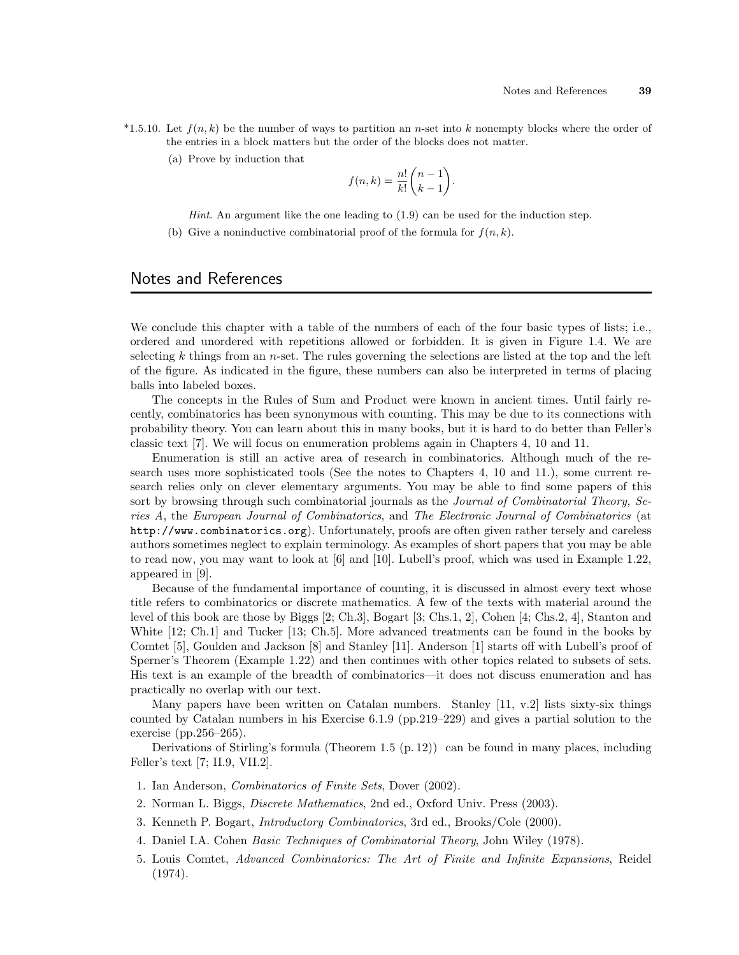- \*1.5.10. Let  $f(n, k)$  be the number of ways to partition an n-set into k nonempty blocks where the order of the entries in a block matters but the order of the blocks does not matter.
	- (a) Prove by induction that

$$
f(n,k) = \frac{n!}{k!} \binom{n-1}{k-1}.
$$

Hint. An argument like the one leading to (1.9) can be used for the induction step.

(b) Give a noninductive combinatorial proof of the formula for  $f(n, k)$ .

## Notes and References

We conclude this chapter with a table of the numbers of each of the four basic types of lists; i.e., ordered and unordered with repetitions allowed or forbidden. It is given in Figure 1.4. We are selecting k things from an n-set. The rules governing the selections are listed at the top and the left of the figure. As indicated in the figure, these numbers can also be interpreted in terms of placing balls into labeled boxes.

The concepts in the Rules of Sum and Product were known in ancient times. Until fairly recently, combinatorics has been synonymous with counting. This may be due to its connections with probability theory. You can learn about this in many books, but it is hard to do better than Feller's classic text [7]. We will focus on enumeration problems again in Chapters 4, 10 and 11.

Enumeration is still an active area of research in combinatorics. Although much of the research uses more sophisticated tools (See the notes to Chapters 4, 10 and 11.), some current research relies only on clever elementary arguments. You may be able to find some papers of this sort by browsing through such combinatorial journals as the *Journal of Combinatorial Theory*, Series A, the European Journal of Combinatorics, and The Electronic Journal of Combinatorics (at http://www.combinatorics.org). Unfortunately, proofs are often given rather tersely and careless authors sometimes neglect to explain terminology. As examples of short papers that you may be able to read now, you may want to look at [6] and [10]. Lubell's proof, which was used in Example 1.22, appeared in [9].

Because of the fundamental importance of counting, it is discussed in almost every text whose title refers to combinatorics or discrete mathematics. A few of the texts with material around the level of this book are those by Biggs [2; Ch.3], Bogart [3; Chs.1, 2], Cohen [4; Chs.2, 4], Stanton and White [12; Ch.1] and Tucker [13; Ch.5]. More advanced treatments can be found in the books by Comtet [5], Goulden and Jackson [8] and Stanley [11]. Anderson [1] starts off with Lubell's proof of Sperner's Theorem (Example 1.22) and then continues with other topics related to subsets of sets. His text is an example of the breadth of combinatorics—it does not discuss enumeration and has practically no overlap with our text.

Many papers have been written on Catalan numbers. Stanley [11, v.2] lists sixty-six things counted by Catalan numbers in his Exercise 6.1.9 (pp.219–229) and gives a partial solution to the exercise (pp.256–265).

Derivations of Stirling's formula (Theorem 1.5 (p. 12)) can be found in many places, including Feller's text [7; II.9, VII.2].

- 1. Ian Anderson, Combinatorics of Finite Sets, Dover (2002).
- 2. Norman L. Biggs, Discrete Mathematics, 2nd ed., Oxford Univ. Press (2003).
- 3. Kenneth P. Bogart, Introductory Combinatorics, 3rd ed., Brooks/Cole (2000).
- 4. Daniel I.A. Cohen Basic Techniques of Combinatorial Theory, John Wiley (1978).
- 5. Louis Comtet, Advanced Combinatorics: The Art of Finite and Infinite Expansions, Reidel (1974).